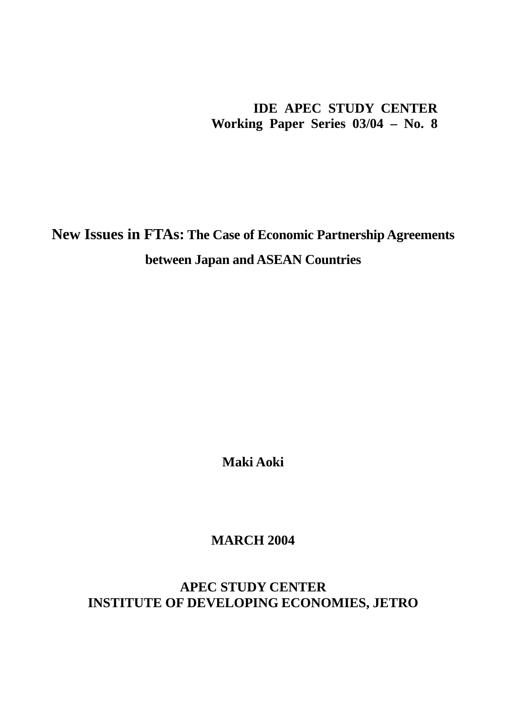# **IDE APEC STUDY CENTER Working Paper Series 03/04 – No. 8**

**New Issues in FTAs: The Case of Economic Partnership Agreements between Japan and ASEAN Countries**

**Maki Aoki** 

**MARCH 2004** 

**APEC STUDY CENTER INSTITUTE OF DEVELOPING ECONOMIES, JETRO**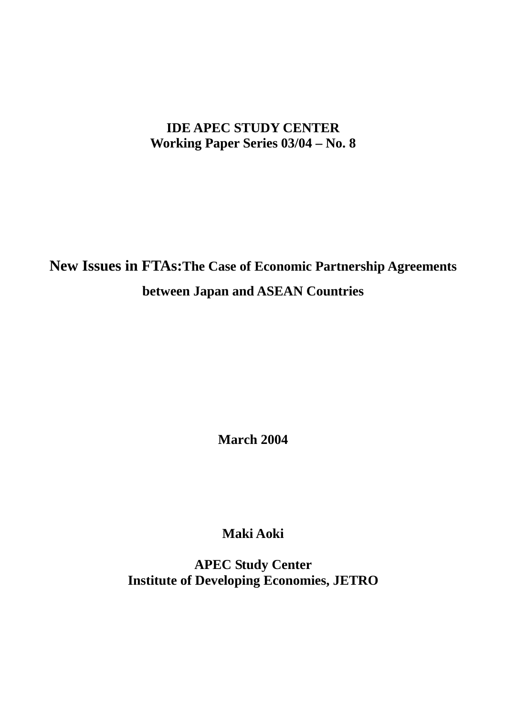# **IDE APEC STUDY CENTER Working Paper Series 03/04 – No. 8**

**New Issues in FTAs:The Case of Economic Partnership Agreements between Japan and ASEAN Countries**

**March 2004** 

**Maki Aoki** 

**APEC Study Center Institute of Developing Economies, JETRO**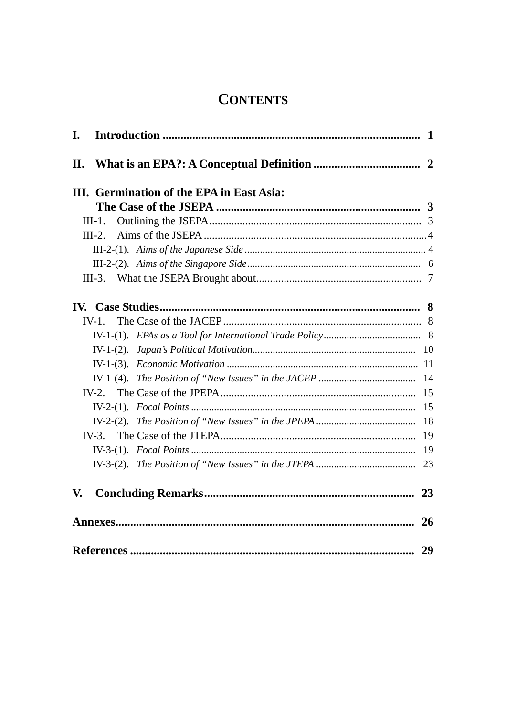# **CONTENTS**

| I.  |          |                                           |           |
|-----|----------|-------------------------------------------|-----------|
| II. |          |                                           |           |
|     |          | III. Germination of the EPA in East Asia: |           |
|     |          |                                           |           |
|     | $III-1.$ |                                           |           |
|     | $III-2.$ |                                           |           |
|     |          |                                           |           |
|     |          |                                           |           |
|     |          |                                           |           |
|     |          |                                           |           |
|     | $IV-1$ . |                                           |           |
|     |          |                                           |           |
|     |          |                                           |           |
|     |          |                                           |           |
|     |          |                                           |           |
|     |          |                                           |           |
|     |          |                                           |           |
|     |          |                                           | -18       |
|     |          |                                           |           |
|     |          |                                           |           |
|     |          |                                           |           |
| V.  |          |                                           | 23        |
|     |          |                                           | <b>26</b> |
|     |          |                                           | 29        |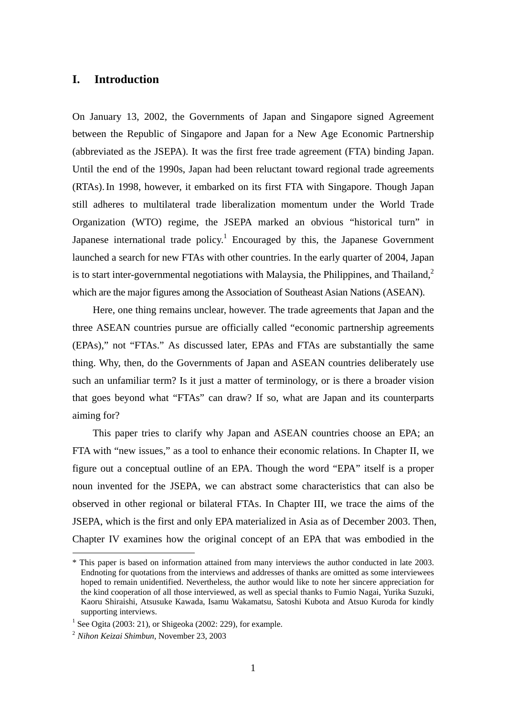# **I. Introduction**

On January 13, 2002, the Governments of Japan and Singapore signed Agreement between the Republic of Singapore and Japan for a New Age Economic Partnership (abbreviated as the JSEPA). It was the first free trade agreement (FTA) binding Japan. Until the end of the 1990s, Japan had been reluctant toward regional trade agreements (RTAs).In 1998, however, it embarked on its first FTA with Singapore. Though Japan still adheres to multilateral trade liberalization momentum under the World Trade Organization (WTO) regime, the JSEPA marked an obvious "historical turn" in Japanese international trade policy.<sup>1</sup> Encouraged by this, the Japanese Government launched a search for new FTAs with other countries. In the early quarter of 2004, Japan is to start inter-governmental negotiations with Malaysia, the Philippines, and Thailand.<sup>2</sup> which are the major figures among the Association of Southeast Asian Nations (ASEAN).

Here, one thing remains unclear, however. The trade agreements that Japan and the three ASEAN countries pursue are officially called "economic partnership agreements (EPAs)," not "FTAs." As discussed later, EPAs and FTAs are substantially the same thing. Why, then, do the Governments of Japan and ASEAN countries deliberately use such an unfamiliar term? Is it just a matter of terminology, or is there a broader vision that goes beyond what "FTAs" can draw? If so, what are Japan and its counterparts aiming for?

This paper tries to clarify why Japan and ASEAN countries choose an EPA; an FTA with "new issues," as a tool to enhance their economic relations. In Chapter II, we figure out a conceptual outline of an EPA. Though the word "EPA" itself is a proper noun invented for the JSEPA, we can abstract some characteristics that can also be observed in other regional or bilateral FTAs. In Chapter III, we trace the aims of the JSEPA, which is the first and only EPA materialized in Asia as of December 2003. Then, Chapter IV examines how the original concept of an EPA that was embodied in the

<sup>\*</sup> This paper is based on information attained from many interviews the author conducted in late 2003. Endnoting for quotations from the interviews and addresses of thanks are omitted as some interviewees hoped to remain unidentified. Nevertheless, the author would like to note her sincere appreciation for the kind cooperation of all those interviewed, as well as special thanks to Fumio Nagai, Yurika Suzuki, Kaoru Shiraishi, Atsusuke Kawada, Isamu Wakamatsu, Satoshi Kubota and Atsuo Kuroda for kindly supporting interviews.

<sup>&</sup>lt;sup>1</sup> See Ogita (2003: 21), or Shigeoka (2002: 229), for example.

<sup>2</sup> *Nihon Keizai Shimbun*, November 23, 2003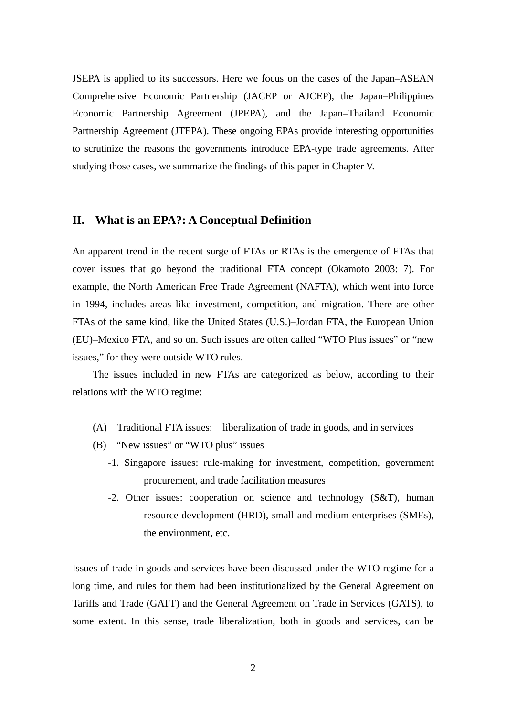JSEPA is applied to its successors. Here we focus on the cases of the Japan–ASEAN Comprehensive Economic Partnership (JACEP or AJCEP), the Japan–Philippines Economic Partnership Agreement (JPEPA), and the Japan–Thailand Economic Partnership Agreement (JTEPA). These ongoing EPAs provide interesting opportunities to scrutinize the reasons the governments introduce EPA-type trade agreements. After studying those cases, we summarize the findings of this paper in Chapter V.

# **II. What is an EPA?: A Conceptual Definition**

An apparent trend in the recent surge of FTAs or RTAs is the emergence of FTAs that cover issues that go beyond the traditional FTA concept (Okamoto 2003: 7). For example, the North American Free Trade Agreement (NAFTA), which went into force in 1994, includes areas like investment, competition, and migration. There are other FTAs of the same kind, like the United States (U.S.)–Jordan FTA, the European Union (EU)–Mexico FTA, and so on. Such issues are often called "WTO Plus issues" or "new issues," for they were outside WTO rules.

The issues included in new FTAs are categorized as below, according to their relations with the WTO regime:

- (A) Traditional FTA issues: liberalization of trade in goods, and in services
- (B) "New issues" or "WTO plus" issues
	- -1. Singapore issues: rule-making for investment, competition, government procurement, and trade facilitation measures
	- -2. Other issues: cooperation on science and technology (S&T), human resource development (HRD), small and medium enterprises (SMEs), the environment, etc.

Issues of trade in goods and services have been discussed under the WTO regime for a long time, and rules for them had been institutionalized by the General Agreement on Tariffs and Trade (GATT) and the General Agreement on Trade in Services (GATS), to some extent. In this sense, trade liberalization, both in goods and services, can be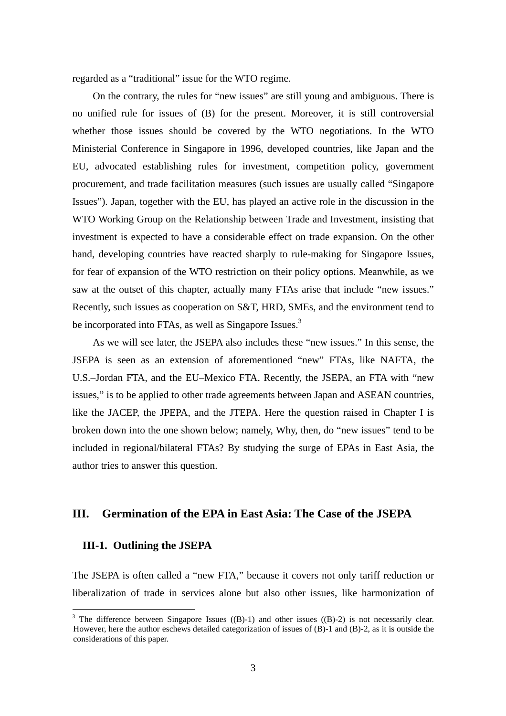regarded as a "traditional" issue for the WTO regime.

On the contrary, the rules for "new issues" are still young and ambiguous. There is no unified rule for issues of (B) for the present. Moreover, it is still controversial whether those issues should be covered by the WTO negotiations. In the WTO Ministerial Conference in Singapore in 1996, developed countries, like Japan and the EU, advocated establishing rules for investment, competition policy, government procurement, and trade facilitation measures (such issues are usually called "Singapore Issues"). Japan, together with the EU, has played an active role in the discussion in the WTO Working Group on the Relationship between Trade and Investment, insisting that investment is expected to have a considerable effect on trade expansion. On the other hand, developing countries have reacted sharply to rule-making for Singapore Issues, for fear of expansion of the WTO restriction on their policy options. Meanwhile, as we saw at the outset of this chapter, actually many FTAs arise that include "new issues." Recently, such issues as cooperation on S&T, HRD, SMEs, and the environment tend to be incorporated into FTAs, as well as Singapore Issues.<sup>3</sup>

As we will see later, the JSEPA also includes these "new issues." In this sense, the JSEPA is seen as an extension of aforementioned "new" FTAs, like NAFTA, the U.S.–Jordan FTA, and the EU–Mexico FTA. Recently, the JSEPA, an FTA with "new issues," is to be applied to other trade agreements between Japan and ASEAN countries, like the JACEP, the JPEPA, and the JTEPA. Here the question raised in Chapter I is broken down into the one shown below; namely, Why, then, do "new issues" tend to be included in regional/bilateral FTAs? By studying the surge of EPAs in East Asia, the author tries to answer this question.

# **III. Germination of the EPA in East Asia: The Case of the JSEPA**

# **III-1. Outlining the JSEPA**

 $\overline{a}$ 

The JSEPA is often called a "new FTA," because it covers not only tariff reduction or liberalization of trade in services alone but also other issues, like harmonization of

<sup>&</sup>lt;sup>3</sup> The difference between Singapore Issues  $((B)-1)$  and other issues  $((B)-2)$  is not necessarily clear. However, here the author eschews detailed categorization of issues of (B)-1 and (B)-2, as it is outside the considerations of this paper.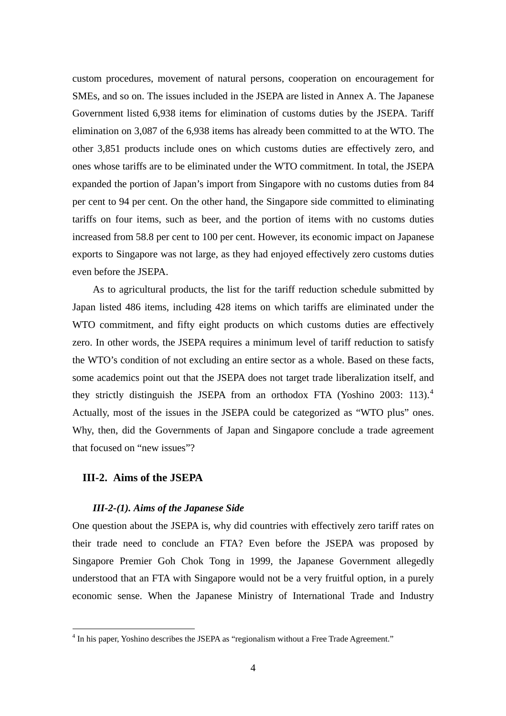custom procedures, movement of natural persons, cooperation on encouragement for SMEs, and so on. The issues included in the JSEPA are listed in Annex A. The Japanese Government listed 6,938 items for elimination of customs duties by the JSEPA. Tariff elimination on 3,087 of the 6,938 items has already been committed to at the WTO. The other 3,851 products include ones on which customs duties are effectively zero, and ones whose tariffs are to be eliminated under the WTO commitment. In total, the JSEPA expanded the portion of Japan's import from Singapore with no customs duties from 84 per cent to 94 per cent. On the other hand, the Singapore side committed to eliminating tariffs on four items, such as beer, and the portion of items with no customs duties increased from 58.8 per cent to 100 per cent. However, its economic impact on Japanese exports to Singapore was not large, as they had enjoyed effectively zero customs duties even before the JSEPA.

As to agricultural products, the list for the tariff reduction schedule submitted by Japan listed 486 items, including 428 items on which tariffs are eliminated under the WTO commitment, and fifty eight products on which customs duties are effectively zero. In other words, the JSEPA requires a minimum level of tariff reduction to satisfy the WTO's condition of not excluding an entire sector as a whole. Based on these facts, some academics point out that the JSEPA does not target trade liberalization itself, and they strictly distinguish the JSEPA from an orthodox FTA (Yoshino 2003: 113).<sup>4</sup> Actually, most of the issues in the JSEPA could be categorized as "WTO plus" ones. Why, then, did the Governments of Japan and Singapore conclude a trade agreement that focused on "new issues"?

## **III-2. Aims of the JSEPA**

 $\overline{a}$ 

### *III-2-(1). Aims of the Japanese Side*

One question about the JSEPA is, why did countries with effectively zero tariff rates on their trade need to conclude an FTA? Even before the JSEPA was proposed by Singapore Premier Goh Chok Tong in 1999, the Japanese Government allegedly understood that an FTA with Singapore would not be a very fruitful option, in a purely economic sense. When the Japanese Ministry of International Trade and Industry

 $4$  In his paper, Yoshino describes the JSEPA as "regionalism without a Free Trade Agreement."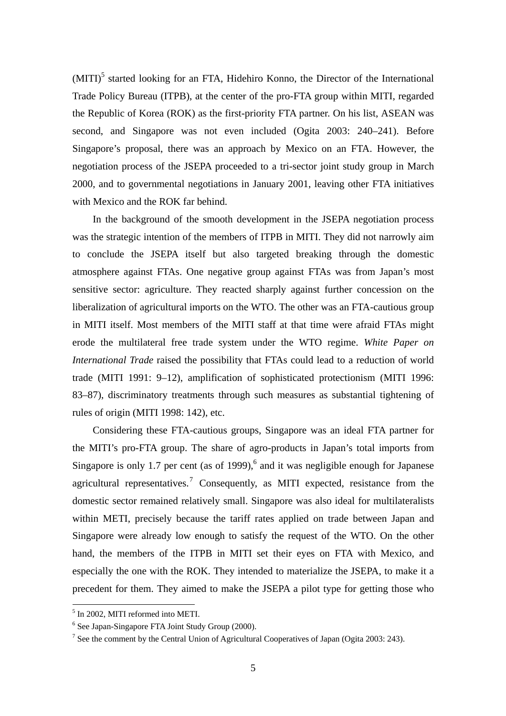(MITI)<sup>5</sup> started looking for an FTA, Hidehiro Konno, the Director of the International Trade Policy Bureau (ITPB), at the center of the pro-FTA group within MITI, regarded the Republic of Korea (ROK) as the first-priority FTA partner. On his list, ASEAN was second, and Singapore was not even included (Ogita 2003: 240–241). Before Singapore's proposal, there was an approach by Mexico on an FTA. However, the negotiation process of the JSEPA proceeded to a tri-sector joint study group in March 2000, and to governmental negotiations in January 2001, leaving other FTA initiatives with Mexico and the ROK far behind.

In the background of the smooth development in the JSEPA negotiation process was the strategic intention of the members of ITPB in MITI. They did not narrowly aim to conclude the JSEPA itself but also targeted breaking through the domestic atmosphere against FTAs. One negative group against FTAs was from Japan's most sensitive sector: agriculture. They reacted sharply against further concession on the liberalization of agricultural imports on the WTO. The other was an FTA-cautious group in MITI itself. Most members of the MITI staff at that time were afraid FTAs might erode the multilateral free trade system under the WTO regime. *White Paper on International Trade* raised the possibility that FTAs could lead to a reduction of world trade (MITI 1991: 9–12), amplification of sophisticated protectionism (MITI 1996: 83–87), discriminatory treatments through such measures as substantial tightening of rules of origin (MITI 1998: 142), etc.

Considering these FTA-cautious groups, Singapore was an ideal FTA partner for the MITI's pro-FTA group. The share of agro-products in Japan's total imports from Singapore is only 1.7 per cent (as of 1999),<sup>6</sup> and it was negligible enough for Japanese agricultural representatives.<sup>7</sup> Consequently, as MITI expected, resistance from the domestic sector remained relatively small. Singapore was also ideal for multilateralists within METI, precisely because the tariff rates applied on trade between Japan and Singapore were already low enough to satisfy the request of the WTO. On the other hand, the members of the ITPB in MITI set their eyes on FTA with Mexico, and especially the one with the ROK. They intended to materialize the JSEPA, to make it a precedent for them. They aimed to make the JSEPA a pilot type for getting those who

<sup>5</sup> In 2002, MITI reformed into METI.

<sup>&</sup>lt;sup>6</sup> See Japan-Singapore FTA Joint Study Group (2000).

<sup>&</sup>lt;sup>7</sup> See the comment by the Central Union of Agricultural Cooperatives of Japan (Ogita 2003: 243).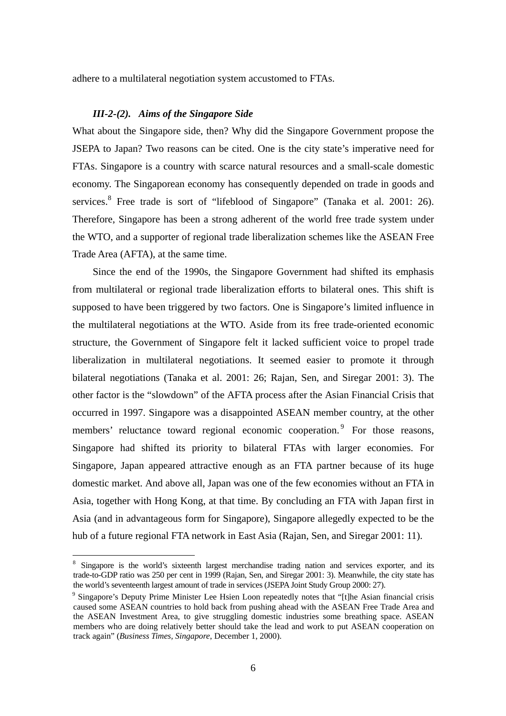adhere to a multilateral negotiation system accustomed to FTAs.

### *III-2-(2). Aims of the Singapore Side*

What about the Singapore side, then? Why did the Singapore Government propose the JSEPA to Japan? Two reasons can be cited. One is the city state's imperative need for FTAs. Singapore is a country with scarce natural resources and a small-scale domestic economy. The Singaporean economy has consequently depended on trade in goods and services. <sup>8</sup> Free trade is sort of "lifeblood of Singapore" (Tanaka et al. 2001: 26). Therefore, Singapore has been a strong adherent of the world free trade system under the WTO, and a supporter of regional trade liberalization schemes like the ASEAN Free Trade Area (AFTA), at the same time.

Since the end of the 1990s, the Singapore Government had shifted its emphasis from multilateral or regional trade liberalization efforts to bilateral ones. This shift is supposed to have been triggered by two factors. One is Singapore's limited influence in the multilateral negotiations at the WTO. Aside from its free trade-oriented economic structure, the Government of Singapore felt it lacked sufficient voice to propel trade liberalization in multilateral negotiations. It seemed easier to promote it through bilateral negotiations (Tanaka et al. 2001: 26; Rajan, Sen, and Siregar 2001: 3). The other factor is the "slowdown" of the AFTA process after the Asian Financial Crisis that occurred in 1997. Singapore was a disappointed ASEAN member country, at the other members' reluctance toward regional economic cooperation.<sup>9</sup> For those reasons, Singapore had shifted its priority to bilateral FTAs with larger economies. For Singapore, Japan appeared attractive enough as an FTA partner because of its huge domestic market. And above all, Japan was one of the few economies without an FTA in Asia, together with Hong Kong, at that time. By concluding an FTA with Japan first in Asia (and in advantageous form for Singapore), Singapore allegedly expected to be the hub of a future regional FTA network in East Asia (Rajan, Sen, and Siregar 2001: 11).

<sup>&</sup>lt;sup>8</sup> Singapore is the world's sixteenth largest merchandise trading nation and services exporter, and its trade-to-GDP ratio was 250 per cent in 1999 (Rajan, Sen, and Siregar 2001: 3). Meanwhile, the city state has the world's seventeenth largest amount of trade in services (JSEPA Joint Study Group 2000: 27).

<sup>&</sup>lt;sup>9</sup> Singapore's Deputy Prime Minister Lee Hsien Loon repeatedly notes that "[t]he Asian financial crisis caused some ASEAN countries to hold back from pushing ahead with the ASEAN Free Trade Area and the ASEAN Investment Area, to give struggling domestic industries some breathing space. ASEAN members who are doing relatively better should take the lead and work to put ASEAN cooperation on track again" (*Business Times, Singapore*, December 1, 2000).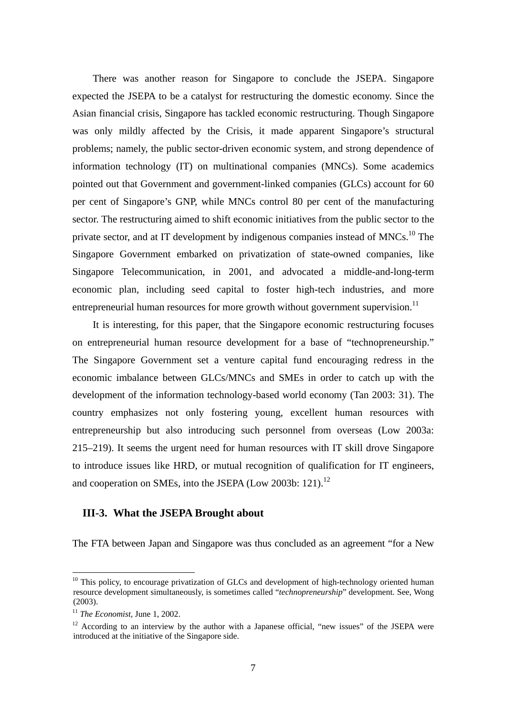There was another reason for Singapore to conclude the JSEPA. Singapore expected the JSEPA to be a catalyst for restructuring the domestic economy. Since the Asian financial crisis, Singapore has tackled economic restructuring. Though Singapore was only mildly affected by the Crisis, it made apparent Singapore's structural problems; namely, the public sector-driven economic system, and strong dependence of information technology (IT) on multinational companies (MNCs). Some academics pointed out that Government and government-linked companies (GLCs) account for 60 per cent of Singapore's GNP, while MNCs control 80 per cent of the manufacturing sector. The restructuring aimed to shift economic initiatives from the public sector to the private sector, and at IT development by indigenous companies instead of MNCs.<sup>10</sup> The Singapore Government embarked on privatization of state-owned companies, like Singapore Telecommunication, in 2001, and advocated a middle-and-long-term economic plan, including seed capital to foster high-tech industries, and more entrepreneurial human resources for more growth without government supervision.<sup>11</sup>

It is interesting, for this paper, that the Singapore economic restructuring focuses on entrepreneurial human resource development for a base of "technopreneurship." The Singapore Government set a venture capital fund encouraging redress in the economic imbalance between GLCs/MNCs and SMEs in order to catch up with the development of the information technology-based world economy (Tan 2003: 31). The country emphasizes not only fostering young, excellent human resources with entrepreneurship but also introducing such personnel from overseas (Low 2003a: 215–219). It seems the urgent need for human resources with IT skill drove Singapore to introduce issues like HRD, or mutual recognition of qualification for IT engineers, and cooperation on SMEs, into the JSEPA (Low 2003b: 121).<sup>12</sup>

# **III-3. What the JSEPA Brought about**

The FTA between Japan and Singapore was thus concluded as an agreement "for a New

<sup>&</sup>lt;sup>10</sup> This policy, to encourage privatization of GLCs and development of high-technology oriented human resource development simultaneously, is sometimes called "*technopreneurship*" development. See, Wong (2003).

<sup>11</sup> *The Economist,* June 1, 2002.

 $12$  According to an interview by the author with a Japanese official, "new issues" of the JSEPA were introduced at the initiative of the Singapore side.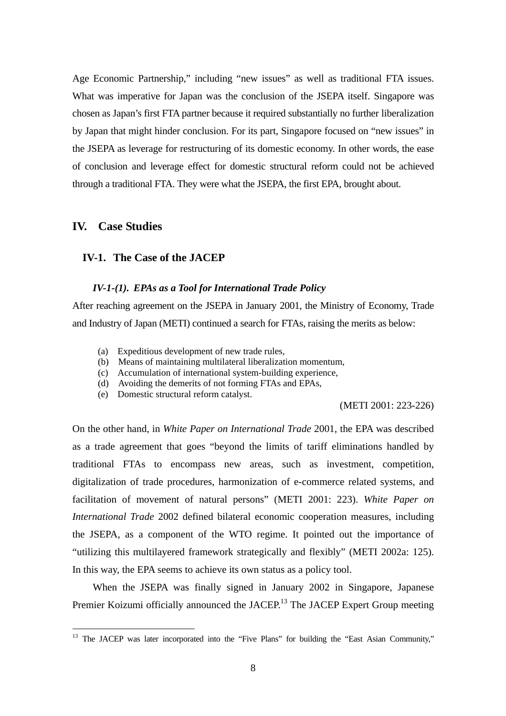Age Economic Partnership," including "new issues" as well as traditional FTA issues. What was imperative for Japan was the conclusion of the JSEPA itself. Singapore was chosen as Japan's first FTA partner because it required substantially no further liberalization by Japan that might hinder conclusion. For its part, Singapore focused on "new issues" in the JSEPA as leverage for restructuring of its domestic economy. In other words, the ease of conclusion and leverage effect for domestic structural reform could not be achieved through a traditional FTA. They were what the JSEPA, the first EPA, brought about.

# **IV. Case Studies**

 $\overline{a}$ 

# **IV-1. The Case of the JACEP**

### *IV-1-(1). EPAs as a Tool for International Trade Policy*

After reaching agreement on the JSEPA in January 2001, the Ministry of Economy, Trade and Industry of Japan (METI) continued a search for FTAs, raising the merits as below:

- (a) Expeditious development of new trade rules,
- (b) Means of maintaining multilateral liberalization momentum,
- (c) Accumulation of international system-building experience,
- (d) Avoiding the demerits of not forming FTAs and EPAs,
- (e) Domestic structural reform catalyst.

## (METI 2001: 223-226)

On the other hand, in *White Paper on International Trade* 2001, the EPA was described as a trade agreement that goes "beyond the limits of tariff eliminations handled by traditional FTAs to encompass new areas, such as investment, competition, digitalization of trade procedures, harmonization of e-commerce related systems, and facilitation of movement of natural persons" (METI 2001: 223). *White Paper on International Trade* 2002 defined bilateral economic cooperation measures, including the JSEPA, as a component of the WTO regime. It pointed out the importance of "utilizing this multilayered framework strategically and flexibly" (METI 2002a: 125). In this way, the EPA seems to achieve its own status as a policy tool.

When the JSEPA was finally signed in January 2002 in Singapore, Japanese Premier Koizumi officially announced the JACEP.<sup>13</sup> The JACEP Expert Group meeting

<sup>&</sup>lt;sup>13</sup> The JACEP was later incorporated into the "Five Plans" for building the "East Asian Community,"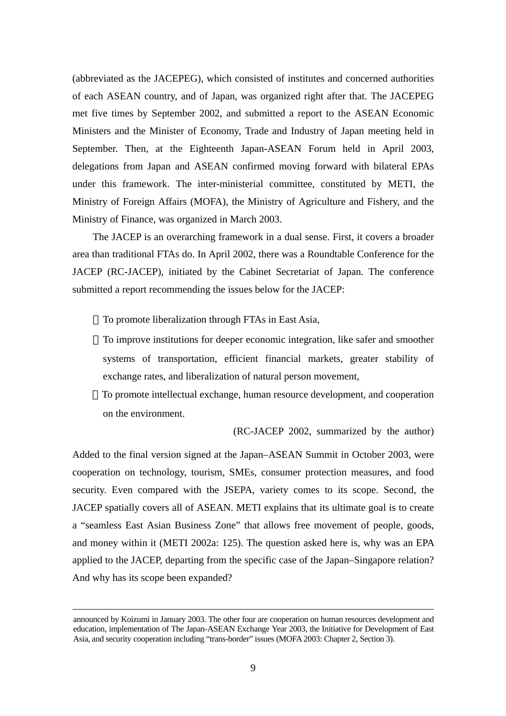(abbreviated as the JACEPEG), which consisted of institutes and concerned authorities of each ASEAN country, and of Japan, was organized right after that. The JACEPEG met five times by September 2002, and submitted a report to the ASEAN Economic Ministers and the Minister of Economy, Trade and Industry of Japan meeting held in September. Then, at the Eighteenth Japan-ASEAN Forum held in April 2003, delegations from Japan and ASEAN confirmed moving forward with bilateral EPAs under this framework. The inter-ministerial committee, constituted by METI, the Ministry of Foreign Affairs (MOFA), the Ministry of Agriculture and Fishery, and the Ministry of Finance, was organized in March 2003.

The JACEP is an overarching framework in a dual sense. First, it covers a broader area than traditional FTAs do. In April 2002, there was a Roundtable Conference for the JACEP (RC-JACEP), initiated by the Cabinet Secretariat of Japan. The conference submitted a report recommending the issues below for the JACEP:

To promote liberalization through FTAs in East Asia,

To improve institutions for deeper economic integration, like safer and smoother systems of transportation, efficient financial markets, greater stability of exchange rates, and liberalization of natural person movement,

To promote intellectual exchange, human resource development, and cooperation on the environment.

(RC-JACEP 2002, summarized by the author)

Added to the final version signed at the Japan–ASEAN Summit in October 2003, were cooperation on technology, tourism, SMEs, consumer protection measures, and food security. Even compared with the JSEPA, variety comes to its scope. Second, the JACEP spatially covers all of ASEAN. METI explains that its ultimate goal is to create a "seamless East Asian Business Zone" that allows free movement of people, goods, and money within it (METI 2002a: 125). The question asked here is, why was an EPA applied to the JACEP, departing from the specific case of the Japan–Singapore relation? And why has its scope been expanded?

announced by Koizumi in January 2003. The other four are cooperation on human resources development and education, implementation of The Japan-ASEAN Exchange Year 2003, the Initiative for Development of East Asia, and security cooperation including "trans-border" issues (MOFA 2003: Chapter 2, Section 3).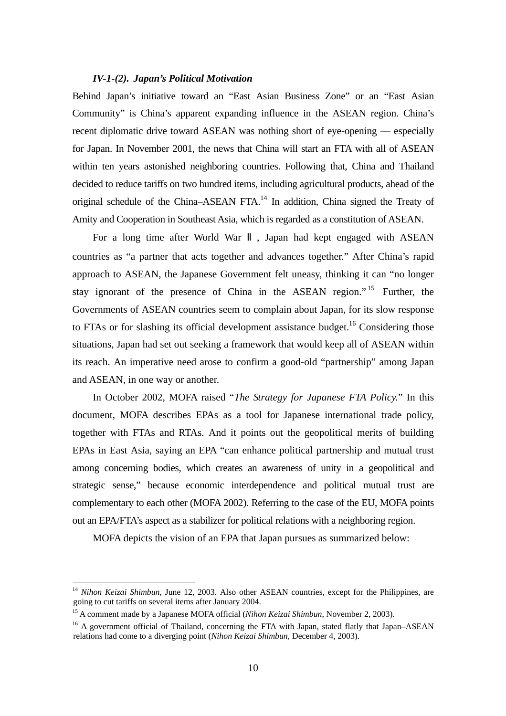## *IV-1-(2). Japan's Political Motivation*

Behind Japan's initiative toward an "East Asian Business Zone" or an "East Asian Community" is China's apparent expanding influence in the ASEAN region. China's recent diplomatic drive toward ASEAN was nothing short of eye-opening –– especially for Japan. In November 2001, the news that China will start an FTA with all of ASEAN within ten years astonished neighboring countries. Following that, China and Thailand decided to reduce tariffs on two hundred items, including agricultural products, ahead of the original schedule of the China–ASEAN FTA. $<sup>14</sup>$  In addition, China signed the Treaty of</sup> Amity and Cooperation in Southeast Asia, which is regarded as a constitution of ASEAN.

For a long time after World War , Japan had kept engaged with ASEAN countries as "a partner that acts together and advances together." After China's rapid approach to ASEAN, the Japanese Government felt uneasy, thinking it can "no longer stay ignorant of the presence of China in the ASEAN region."<sup>15</sup> Further, the Governments of ASEAN countries seem to complain about Japan, for its slow response to FTAs or for slashing its official development assistance budget.<sup>16</sup> Considering those situations, Japan had set out seeking a framework that would keep all of ASEAN within its reach. An imperative need arose to confirm a good-old "partnership" among Japan and ASEAN, in one way or another.

In October 2002, MOFA raised "*The Strategy for Japanese FTA Policy.*" In this document, MOFA describes EPAs as a tool for Japanese international trade policy, together with FTAs and RTAs. And it points out the geopolitical merits of building EPAs in East Asia, saying an EPA "can enhance political partnership and mutual trust among concerning bodies, which creates an awareness of unity in a geopolitical and strategic sense," because economic interdependence and political mutual trust are complementary to each other (MOFA 2002). Referring to the case of the EU, MOFA points out an EPA/FTA's aspect as a stabilizer for political relations with a neighboring region.

MOFA depicts the vision of an EPA that Japan pursues as summarized below:

<sup>&</sup>lt;sup>14</sup> Nihon Keizai Shimbun, June 12, 2003. Also other ASEAN countries, except for the Philippines, are going to cut tariffs on several items after January 2004.

<sup>15</sup> A comment made by a Japanese MOFA official (*Nihon Keizai Shimbun*, November 2, 2003).

<sup>&</sup>lt;sup>16</sup> A government official of Thailand, concerning the FTA with Japan, stated flatly that Japan–ASEAN relations had come to a diverging point (*Nihon Keizai Shimbun*, December 4, 2003).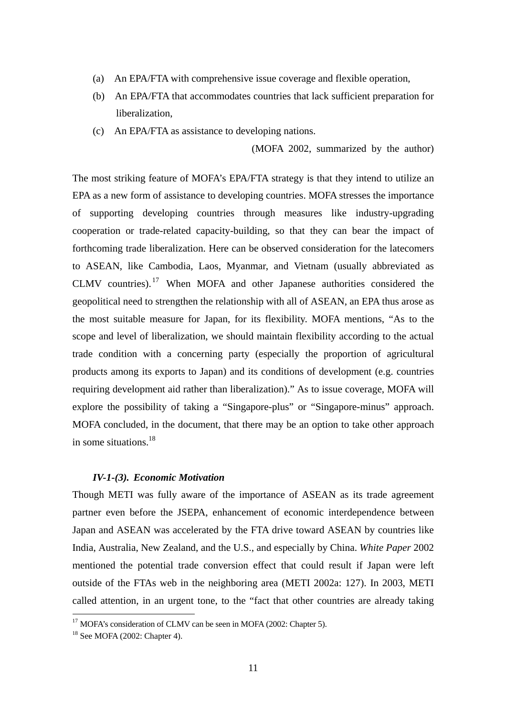- (a) An EPA/FTA with comprehensive issue coverage and flexible operation,
- (b) An EPA/FTA that accommodates countries that lack sufficient preparation for liberalization,
- (c) An EPA/FTA as assistance to developing nations.

(MOFA 2002, summarized by the author)

The most striking feature of MOFA's EPA/FTA strategy is that they intend to utilize an EPA as a new form of assistance to developing countries. MOFA stresses the importance of supporting developing countries through measures like industry-upgrading cooperation or trade-related capacity-building, so that they can bear the impact of forthcoming trade liberalization. Here can be observed consideration for the latecomers to ASEAN, like Cambodia, Laos, Myanmar, and Vietnam (usually abbreviated as CLMV countries). 17 When MOFA and other Japanese authorities considered the geopolitical need to strengthen the relationship with all of ASEAN, an EPA thus arose as the most suitable measure for Japan, for its flexibility. MOFA mentions, "As to the scope and level of liberalization, we should maintain flexibility according to the actual trade condition with a concerning party (especially the proportion of agricultural products among its exports to Japan) and its conditions of development (e.g. countries requiring development aid rather than liberalization)." As to issue coverage, MOFA will explore the possibility of taking a "Singapore-plus" or "Singapore-minus" approach. MOFA concluded, in the document, that there may be an option to take other approach in some situations.18

# *IV-1-(3). Economic Motivation*

Though METI was fully aware of the importance of ASEAN as its trade agreement partner even before the JSEPA, enhancement of economic interdependence between Japan and ASEAN was accelerated by the FTA drive toward ASEAN by countries like India, Australia, New Zealand, and the U.S., and especially by China. *White Paper* 2002 mentioned the potential trade conversion effect that could result if Japan were left outside of the FTAs web in the neighboring area (METI 2002a: 127). In 2003, METI called attention, in an urgent tone, to the "fact that other countries are already taking

<sup>&</sup>lt;sup>17</sup> MOFA's consideration of CLMV can be seen in MOFA (2002: Chapter 5).

<sup>18</sup> See MOFA (2002: Chapter 4).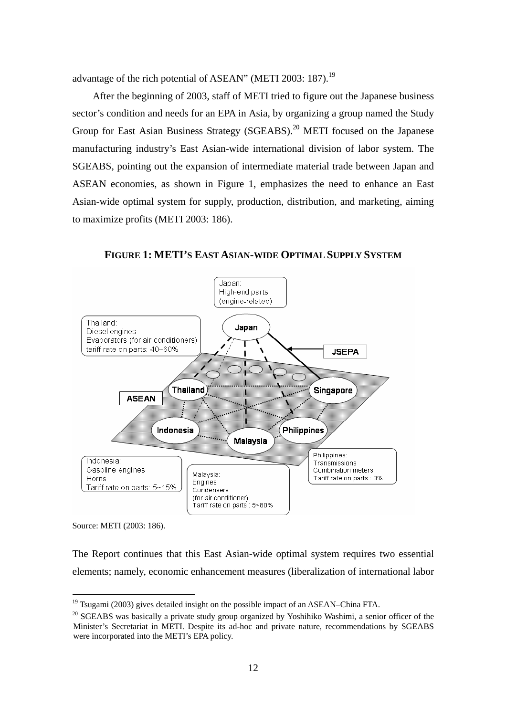advantage of the rich potential of ASEAN" (METI 2003: 187).<sup>19</sup>

After the beginning of 2003, staff of METI tried to figure out the Japanese business sector's condition and needs for an EPA in Asia, by organizing a group named the Study Group for East Asian Business Strategy (SGEABS).<sup>20</sup> METI focused on the Japanese manufacturing industry's East Asian-wide international division of labor system. The SGEABS, pointing out the expansion of intermediate material trade between Japan and ASEAN economies, as shown in Figure 1, emphasizes the need to enhance an East Asian-wide optimal system for supply, production, distribution, and marketing, aiming to maximize profits (METI 2003: 186).



**FIGURE 1: METI'S EAST ASIAN-WIDE OPTIMAL SUPPLY SYSTEM** 

Source: METI (2003: 186).

 $\overline{a}$ 

The Report continues that this East Asian-wide optimal system requires two essential elements; namely, economic enhancement measures (liberalization of international labor

 $19$  Tsugami (2003) gives detailed insight on the possible impact of an ASEAN–China FTA.

 $20$  SGEABS was basically a private study group organized by Yoshihiko Washimi, a senior officer of the Minister's Secretariat in METI. Despite its ad-hoc and private nature, recommendations by SGEABS were incorporated into the METI's EPA policy.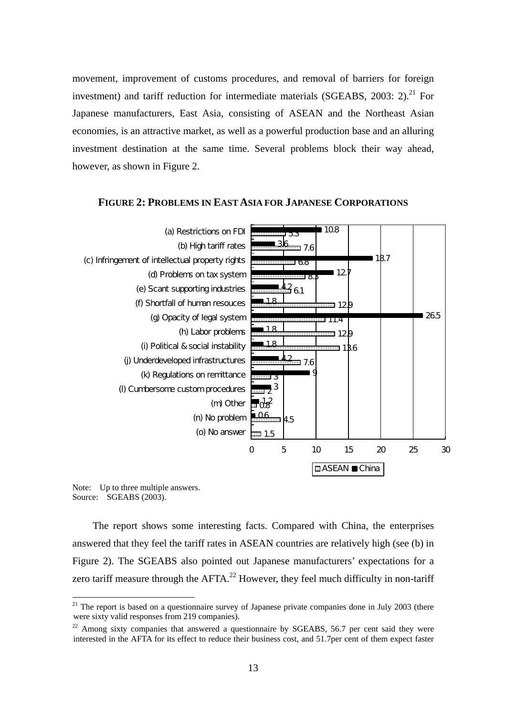movement, improvement of customs procedures, and removal of barriers for foreign investment) and tariff reduction for intermediate materials (SGEABS,  $2003: 2$ ).<sup>21</sup> For Japanese manufacturers, East Asia, consisting of ASEAN and the Northeast Asian economies, is an attractive market, as well as a powerful production base and an alluring investment destination at the same time. Several problems block their way ahead, however, as shown in Figure 2.



### **FIGURE 2: PROBLEMS IN EAST ASIA FOR JAPANESE CORPORATIONS**

Note: Up to three multiple answers. Source: SGEABS (2003).

 $\overline{a}$ 

The report shows some interesting facts. Compared with China, the enterprises answered that they feel the tariff rates in ASEAN countries are relatively high (see (b) in Figure 2). The SGEABS also pointed out Japanese manufacturers' expectations for a zero tariff measure through the  $AFTA<sup>22</sup>$  However, they feel much difficulty in non-tariff

 $21$  The report is based on a questionnaire survey of Japanese private companies done in July 2003 (there were sixty valid responses from 219 companies).

 $^{22}$  Among sixty companies that answered a questionnaire by SGEABS, 56.7 per cent said they were interested in the AFTA for its effect to reduce their business cost, and 51.7per cent of them expect faster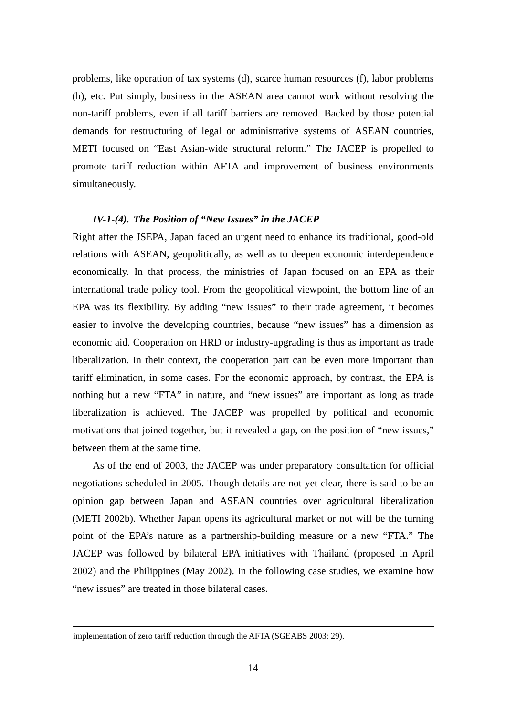problems, like operation of tax systems (d), scarce human resources (f), labor problems (h), etc. Put simply, business in the ASEAN area cannot work without resolving the non-tariff problems, even if all tariff barriers are removed. Backed by those potential demands for restructuring of legal or administrative systems of ASEAN countries, METI focused on "East Asian-wide structural reform." The JACEP is propelled to promote tariff reduction within AFTA and improvement of business environments simultaneously.

# *IV-1-(4). The Position of "New Issues" in the JACEP*

Right after the JSEPA, Japan faced an urgent need to enhance its traditional, good-old relations with ASEAN, geopolitically, as well as to deepen economic interdependence economically. In that process, the ministries of Japan focused on an EPA as their international trade policy tool. From the geopolitical viewpoint, the bottom line of an EPA was its flexibility. By adding "new issues" to their trade agreement, it becomes easier to involve the developing countries, because "new issues" has a dimension as economic aid. Cooperation on HRD or industry-upgrading is thus as important as trade liberalization. In their context, the cooperation part can be even more important than tariff elimination, in some cases. For the economic approach, by contrast, the EPA is nothing but a new "FTA" in nature, and "new issues" are important as long as trade liberalization is achieved. The JACEP was propelled by political and economic motivations that joined together, but it revealed a gap, on the position of "new issues," between them at the same time.

As of the end of 2003, the JACEP was under preparatory consultation for official negotiations scheduled in 2005. Though details are not yet clear, there is said to be an opinion gap between Japan and ASEAN countries over agricultural liberalization (METI 2002b). Whether Japan opens its agricultural market or not will be the turning point of the EPA's nature as a partnership-building measure or a new "FTA." The JACEP was followed by bilateral EPA initiatives with Thailand (proposed in April 2002) and the Philippines (May 2002). In the following case studies, we examine how "new issues" are treated in those bilateral cases.

implementation of zero tariff reduction through the AFTA (SGEABS 2003: 29).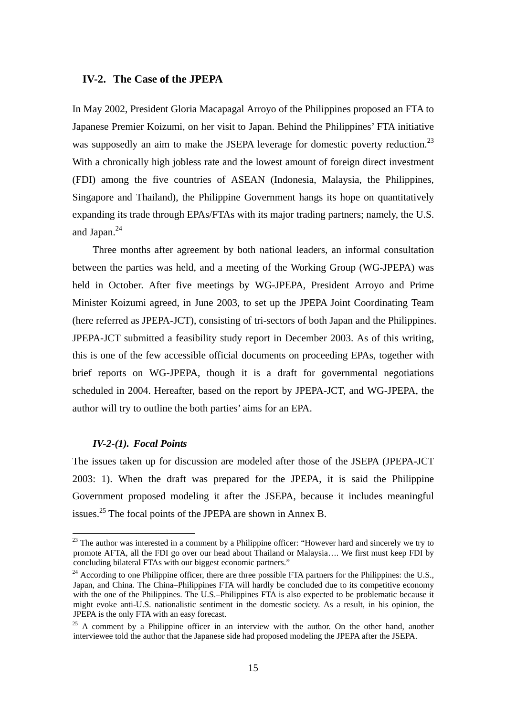# **IV-2. The Case of the JPEPA**

In May 2002, President Gloria Macapagal Arroyo of the Philippines proposed an FTA to Japanese Premier Koizumi, on her visit to Japan. Behind the Philippines' FTA initiative was supposedly an aim to make the JSEPA leverage for domestic poverty reduction.<sup>23</sup> With a chronically high jobless rate and the lowest amount of foreign direct investment (FDI) among the five countries of ASEAN (Indonesia, Malaysia, the Philippines, Singapore and Thailand), the Philippine Government hangs its hope on quantitatively expanding its trade through EPAs/FTAs with its major trading partners; namely, the U.S. and Japan.24

Three months after agreement by both national leaders, an informal consultation between the parties was held, and a meeting of the Working Group (WG-JPEPA) was held in October. After five meetings by WG-JPEPA, President Arroyo and Prime Minister Koizumi agreed, in June 2003, to set up the JPEPA Joint Coordinating Team (here referred as JPEPA-JCT), consisting of tri-sectors of both Japan and the Philippines. JPEPA-JCT submitted a feasibility study report in December 2003. As of this writing, this is one of the few accessible official documents on proceeding EPAs, together with brief reports on WG-JPEPA, though it is a draft for governmental negotiations scheduled in 2004. Hereafter, based on the report by JPEPA-JCT, and WG-JPEPA, the author will try to outline the both parties' aims for an EPA.

### *IV-2-(1). Focal Points*

 $\overline{a}$ 

The issues taken up for discussion are modeled after those of the JSEPA (JPEPA-JCT 2003: 1). When the draft was prepared for the JPEPA, it is said the Philippine Government proposed modeling it after the JSEPA, because it includes meaningful issues.<sup>25</sup> The focal points of the JPEPA are shown in Annex B.

<sup>&</sup>lt;sup>23</sup> The author was interested in a comment by a Philippine officer: "However hard and sincerely we try to promote AFTA, all the FDI go over our head about Thailand or Malaysia…. We first must keep FDI by concluding bilateral FTAs with our biggest economic partners."

<sup>&</sup>lt;sup>24</sup> According to one Philippine officer, there are three possible FTA partners for the Philippines: the U.S., Japan, and China. The China–Philippines FTA will hardly be concluded due to its competitive economy with the one of the Philippines. The U.S.–Philippines FTA is also expected to be problematic because it might evoke anti-U.S. nationalistic sentiment in the domestic society. As a result, in his opinion, the JPEPA is the only FTA with an easy forecast.

 $25$  A comment by a Philippine officer in an interview with the author. On the other hand, another interviewee told the author that the Japanese side had proposed modeling the JPEPA after the JSEPA.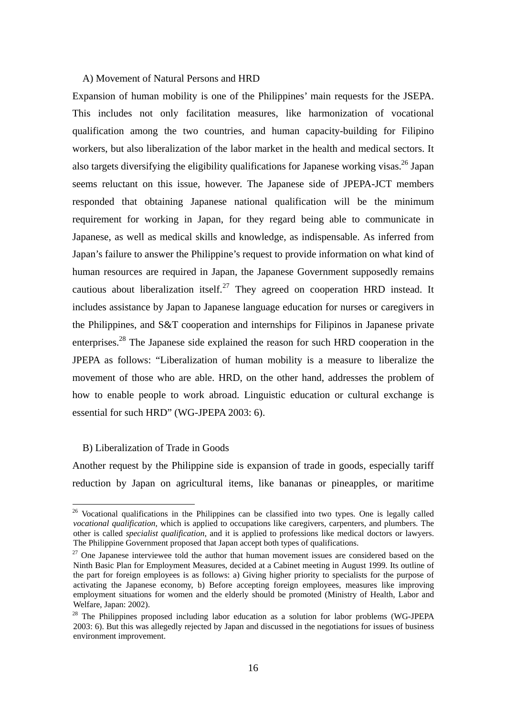# A) Movement of Natural Persons and HRD

Expansion of human mobility is one of the Philippines' main requests for the JSEPA. This includes not only facilitation measures, like harmonization of vocational qualification among the two countries, and human capacity-building for Filipino workers, but also liberalization of the labor market in the health and medical sectors. It also targets diversifying the eligibility qualifications for Japanese working visas.<sup>26</sup> Japan seems reluctant on this issue, however. The Japanese side of JPEPA-JCT members responded that obtaining Japanese national qualification will be the minimum requirement for working in Japan, for they regard being able to communicate in Japanese, as well as medical skills and knowledge, as indispensable. As inferred from Japan's failure to answer the Philippine's request to provide information on what kind of human resources are required in Japan, the Japanese Government supposedly remains cautious about liberalization itself.<sup>27</sup> They agreed on cooperation HRD instead. It includes assistance by Japan to Japanese language education for nurses or caregivers in the Philippines, and S&T cooperation and internships for Filipinos in Japanese private enterprises.28 The Japanese side explained the reason for such HRD cooperation in the JPEPA as follows: "Liberalization of human mobility is a measure to liberalize the movement of those who are able. HRD, on the other hand, addresses the problem of how to enable people to work abroad. Linguistic education or cultural exchange is essential for such HRD" (WG-JPEPA 2003: 6).

# B) Liberalization of Trade in Goods

 $\overline{a}$ 

Another request by the Philippine side is expansion of trade in goods, especially tariff reduction by Japan on agricultural items, like bananas or pineapples, or maritime

<sup>&</sup>lt;sup>26</sup> Vocational qualifications in the Philippines can be classified into two types. One is legally called *vocational qualification*, which is applied to occupations like caregivers, carpenters, and plumbers. The other is called *specialist qualification*, and it is applied to professions like medical doctors or lawyers. The Philippine Government proposed that Japan accept both types of qualifications.<br><sup>27</sup> One Japanese interviewee told the author that human movement issues are considered based on the

Ninth Basic Plan for Employment Measures, decided at a Cabinet meeting in August 1999. Its outline of the part for foreign employees is as follows: a) Giving higher priority to specialists for the purpose of activating the Japanese economy, b) Before accepting foreign employees, measures like improving employment situations for women and the elderly should be promoted (Ministry of Health, Labor and Welfare, Japan: 2002).

<sup>&</sup>lt;sup>28</sup> The Philippines proposed including labor education as a solution for labor problems (WG-JPEPA 2003: 6). But this was allegedly rejected by Japan and discussed in the negotiations for issues of business environment improvement.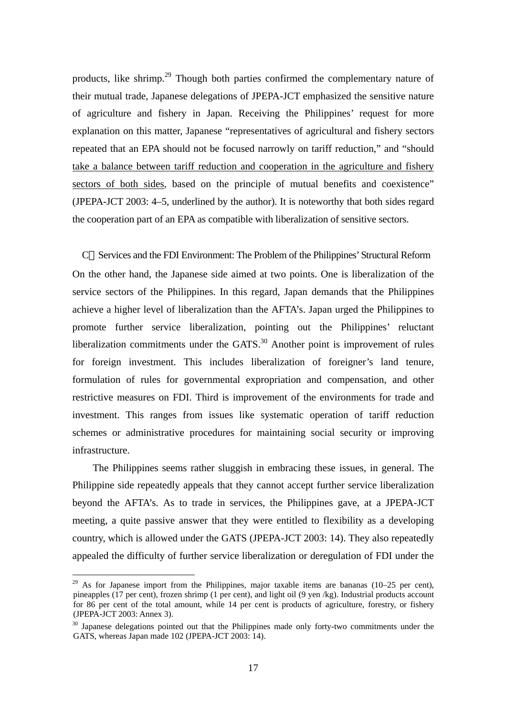products, like shrimp.29 Though both parties confirmed the complementary nature of their mutual trade, Japanese delegations of JPEPA-JCT emphasized the sensitive nature of agriculture and fishery in Japan. Receiving the Philippines' request for more explanation on this matter, Japanese "representatives of agricultural and fishery sectors repeated that an EPA should not be focused narrowly on tariff reduction," and "should take a balance between tariff reduction and cooperation in the agriculture and fishery sectors of both sides, based on the principle of mutual benefits and coexistence" (JPEPA-JCT 2003: 4–5, underlined by the author). It is noteworthy that both sides regard the cooperation part of an EPA as compatible with liberalization of sensitive sectors.

C Services and the FDI Environment: The Problem of the Philippines' Structural Reform On the other hand, the Japanese side aimed at two points. One is liberalization of the service sectors of the Philippines. In this regard, Japan demands that the Philippines achieve a higher level of liberalization than the AFTA's. Japan urged the Philippines to promote further service liberalization, pointing out the Philippines' reluctant liberalization commitments under the  $GATS$ <sup>30</sup> Another point is improvement of rules for foreign investment. This includes liberalization of foreigner's land tenure, formulation of rules for governmental expropriation and compensation, and other restrictive measures on FDI. Third is improvement of the environments for trade and investment. This ranges from issues like systematic operation of tariff reduction schemes or administrative procedures for maintaining social security or improving infrastructure.

The Philippines seems rather sluggish in embracing these issues, in general. The Philippine side repeatedly appeals that they cannot accept further service liberalization beyond the AFTA's. As to trade in services, the Philippines gave, at a JPEPA-JCT meeting, a quite passive answer that they were entitled to flexibility as a developing country, which is allowed under the GATS (JPEPA-JCT 2003: 14). They also repeatedly appealed the difficulty of further service liberalization or deregulation of FDI under the

 $29$  As for Japanese import from the Philippines, major taxable items are bananas (10–25 per cent), pineapples (17 per cent), frozen shrimp (1 per cent), and light oil (9 yen /kg). Industrial products account for 86 per cent of the total amount, while 14 per cent is products of agriculture, forestry, or fishery (JPEPA-JCT 2003: Annex 3).

 $30$  Japanese delegations pointed out that the Philippines made only forty-two commitments under the GATS, whereas Japan made 102 (JPEPA-JCT 2003: 14).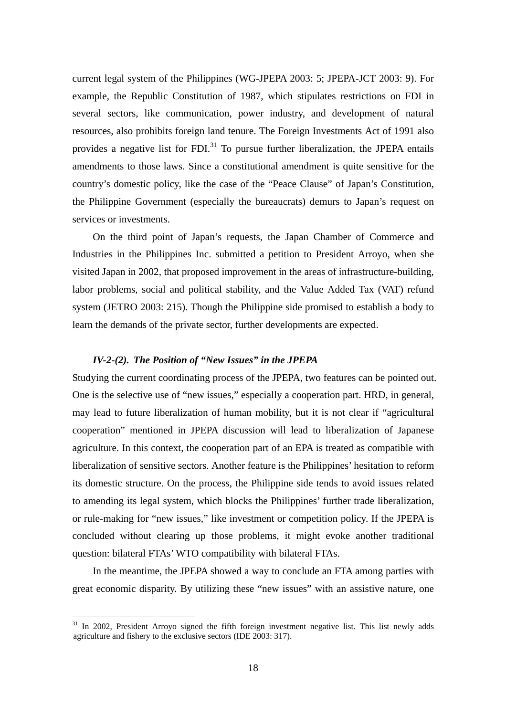current legal system of the Philippines (WG-JPEPA 2003: 5; JPEPA-JCT 2003: 9). For example, the Republic Constitution of 1987, which stipulates restrictions on FDI in several sectors, like communication, power industry, and development of natural resources, also prohibits foreign land tenure. The Foreign Investments Act of 1991 also provides a negative list for  $FDI$ <sup>31</sup> To pursue further liberalization, the JPEPA entails amendments to those laws. Since a constitutional amendment is quite sensitive for the country's domestic policy, like the case of the "Peace Clause" of Japan's Constitution, the Philippine Government (especially the bureaucrats) demurs to Japan's request on services or investments.

On the third point of Japan's requests, the Japan Chamber of Commerce and Industries in the Philippines Inc. submitted a petition to President Arroyo, when she visited Japan in 2002, that proposed improvement in the areas of infrastructure-building, labor problems, social and political stability, and the Value Added Tax (VAT) refund system (JETRO 2003: 215). Though the Philippine side promised to establish a body to learn the demands of the private sector, further developments are expected.

# *IV-2-(2). The Position of "New Issues" in the JPEPA*

 $\overline{a}$ 

Studying the current coordinating process of the JPEPA, two features can be pointed out. One is the selective use of "new issues," especially a cooperation part. HRD, in general, may lead to future liberalization of human mobility, but it is not clear if "agricultural cooperation" mentioned in JPEPA discussion will lead to liberalization of Japanese agriculture. In this context, the cooperation part of an EPA is treated as compatible with liberalization of sensitive sectors. Another feature is the Philippines' hesitation to reform its domestic structure. On the process, the Philippine side tends to avoid issues related to amending its legal system, which blocks the Philippines' further trade liberalization, or rule-making for "new issues," like investment or competition policy. If the JPEPA is concluded without clearing up those problems, it might evoke another traditional question: bilateral FTAs' WTO compatibility with bilateral FTAs.

In the meantime, the JPEPA showed a way to conclude an FTA among parties with great economic disparity. By utilizing these "new issues" with an assistive nature, one

<sup>&</sup>lt;sup>31</sup> In 2002, President Arroyo signed the fifth foreign investment negative list. This list newly adds agriculture and fishery to the exclusive sectors (IDE 2003: 317).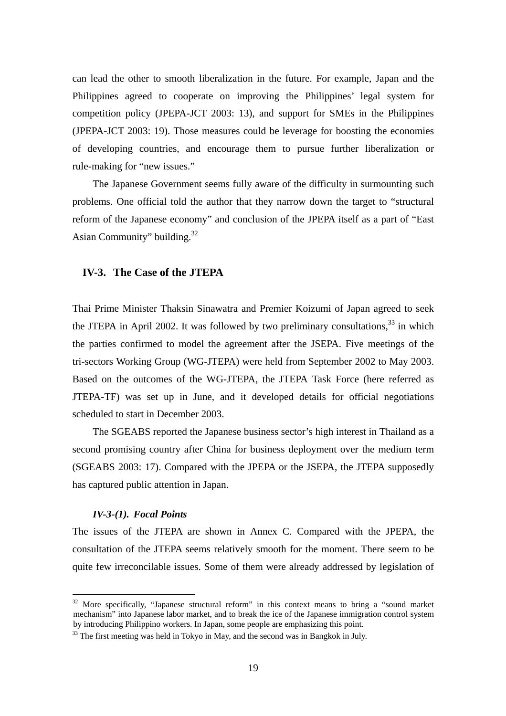can lead the other to smooth liberalization in the future. For example, Japan and the Philippines agreed to cooperate on improving the Philippines' legal system for competition policy (JPEPA-JCT 2003: 13), and support for SMEs in the Philippines (JPEPA-JCT 2003: 19). Those measures could be leverage for boosting the economies of developing countries, and encourage them to pursue further liberalization or rule-making for "new issues."

The Japanese Government seems fully aware of the difficulty in surmounting such problems. One official told the author that they narrow down the target to "structural reform of the Japanese economy" and conclusion of the JPEPA itself as a part of "East Asian Community" building.<sup>32</sup>

# **IV-3. The Case of the JTEPA**

Thai Prime Minister Thaksin Sinawatra and Premier Koizumi of Japan agreed to seek the JTEPA in April 2002. It was followed by two preliminary consultations,  $33$  in which the parties confirmed to model the agreement after the JSEPA. Five meetings of the tri-sectors Working Group (WG-JTEPA) were held from September 2002 to May 2003. Based on the outcomes of the WG-JTEPA, the JTEPA Task Force (here referred as JTEPA-TF) was set up in June, and it developed details for official negotiations scheduled to start in December 2003.

The SGEABS reported the Japanese business sector's high interest in Thailand as a second promising country after China for business deployment over the medium term (SGEABS 2003: 17). Compared with the JPEPA or the JSEPA, the JTEPA supposedly has captured public attention in Japan.

# *IV-3-(1). Focal Points*

 $\overline{a}$ 

The issues of the JTEPA are shown in Annex C. Compared with the JPEPA, the consultation of the JTEPA seems relatively smooth for the moment. There seem to be quite few irreconcilable issues. Some of them were already addressed by legislation of

 $32$  More specifically, "Japanese structural reform" in this context means to bring a "sound market" mechanism" into Japanese labor market, and to break the ice of the Japanese immigration control system by introducing Philippino workers. In Japan, some people are emphasizing this point.

 $33$  The first meeting was held in Tokyo in May, and the second was in Bangkok in July.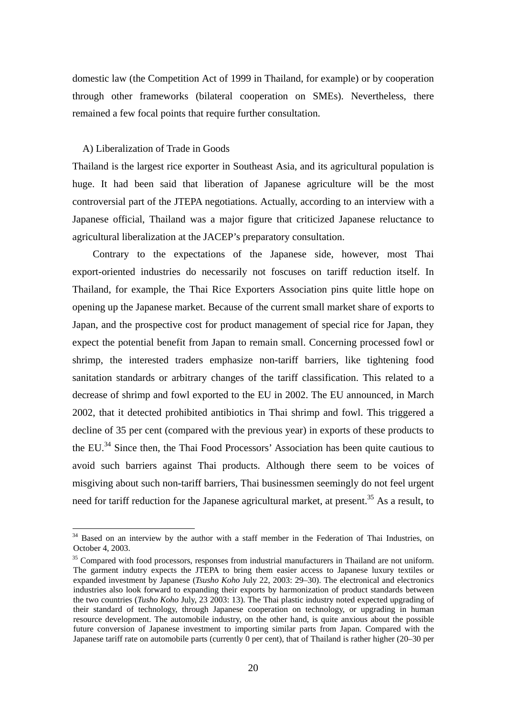domestic law (the Competition Act of 1999 in Thailand, for example) or by cooperation through other frameworks (bilateral cooperation on SMEs). Nevertheless, there remained a few focal points that require further consultation.

# A) Liberalization of Trade in Goods

 $\overline{a}$ 

Thailand is the largest rice exporter in Southeast Asia, and its agricultural population is huge. It had been said that liberation of Japanese agriculture will be the most controversial part of the JTEPA negotiations. Actually, according to an interview with a Japanese official, Thailand was a major figure that criticized Japanese reluctance to agricultural liberalization at the JACEP's preparatory consultation.

Contrary to the expectations of the Japanese side, however, most Thai export-oriented industries do necessarily not foscuses on tariff reduction itself. In Thailand, for example, the Thai Rice Exporters Association pins quite little hope on opening up the Japanese market. Because of the current small market share of exports to Japan, and the prospective cost for product management of special rice for Japan, they expect the potential benefit from Japan to remain small. Concerning processed fowl or shrimp, the interested traders emphasize non-tariff barriers, like tightening food sanitation standards or arbitrary changes of the tariff classification. This related to a decrease of shrimp and fowl exported to the EU in 2002. The EU announced, in March 2002, that it detected prohibited antibiotics in Thai shrimp and fowl. This triggered a decline of 35 per cent (compared with the previous year) in exports of these products to the EU.<sup>34</sup> Since then, the Thai Food Processors' Association has been quite cautious to avoid such barriers against Thai products. Although there seem to be voices of misgiving about such non-tariff barriers, Thai businessmen seemingly do not feel urgent need for tariff reduction for the Japanese agricultural market, at present.<sup>35</sup> As a result, to

<sup>&</sup>lt;sup>34</sup> Based on an interview by the author with a staff member in the Federation of Thai Industries, on October 4, 2003.

<sup>&</sup>lt;sup>35</sup> Compared with food processors, responses from industrial manufacturers in Thailand are not uniform. The garment indutry expects the JTEPA to bring them easier access to Japanese luxury textiles or expanded investment by Japanese (*Tsusho Koho* July 22, 2003: 29–30). The electronical and electronics industries also look forward to expanding their exports by harmonization of product standards between the two countries (*Tusho Koho* July, 23 2003: 13). The Thai plastic industry noted expected upgrading of their standard of technology, through Japanese cooperation on technology, or upgrading in human resource development. The automobile industry, on the other hand, is quite anxious about the possible future conversion of Japanese investment to importing similar parts from Japan. Compared with the Japanese tariff rate on automobile parts (currently 0 per cent), that of Thailand is rather higher (20–30 per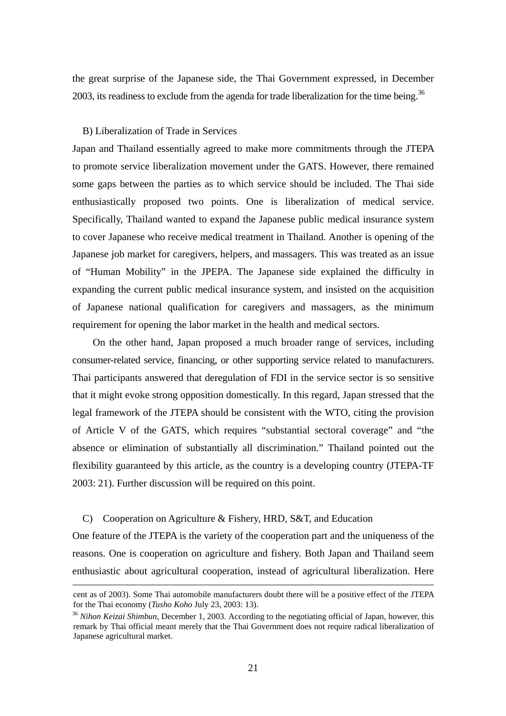the great surprise of the Japanese side, the Thai Government expressed, in December 2003, its readiness to exclude from the agenda for trade liberalization for the time being.<sup>36</sup>

### B) Liberalization of Trade in Services

Japan and Thailand essentially agreed to make more commitments through the JTEPA to promote service liberalization movement under the GATS. However, there remained some gaps between the parties as to which service should be included. The Thai side enthusiastically proposed two points. One is liberalization of medical service. Specifically, Thailand wanted to expand the Japanese public medical insurance system to cover Japanese who receive medical treatment in Thailand. Another is opening of the Japanese job market for caregivers, helpers, and massagers. This was treated as an issue of "Human Mobility" in the JPEPA. The Japanese side explained the difficulty in expanding the current public medical insurance system, and insisted on the acquisition of Japanese national qualification for caregivers and massagers, as the minimum requirement for opening the labor market in the health and medical sectors.

On the other hand, Japan proposed a much broader range of services, including consumer-related service, financing, or other supporting service related to manufacturers. Thai participants answered that deregulation of FDI in the service sector is so sensitive that it might evoke strong opposition domestically. In this regard, Japan stressed that the legal framework of the JTEPA should be consistent with the WTO, citing the provision of Article V of the GATS, which requires "substantial sectoral coverage" and "the absence or elimination of substantially all discrimination." Thailand pointed out the flexibility guaranteed by this article, as the country is a developing country (JTEPA-TF 2003: 21). Further discussion will be required on this point.

## C) Cooperation on Agriculture & Fishery, HRD, S&T, and Education

One feature of the JTEPA is the variety of the cooperation part and the uniqueness of the reasons. One is cooperation on agriculture and fishery. Both Japan and Thailand seem enthusiastic about agricultural cooperation, instead of agricultural liberalization. Here

cent as of 2003). Some Thai automobile manufacturers doubt there will be a positive effect of the JTEPA for the Thai economy (*Tusho Koho* July 23, 2003: 13).<br><sup>36</sup> *Nihon Keizai Shimbun*, December 1, 2003. According to the negotiating official of Japan, however, this

remark by Thai official meant merely that the Thai Government does not require radical liberalization of Japanese agricultural market.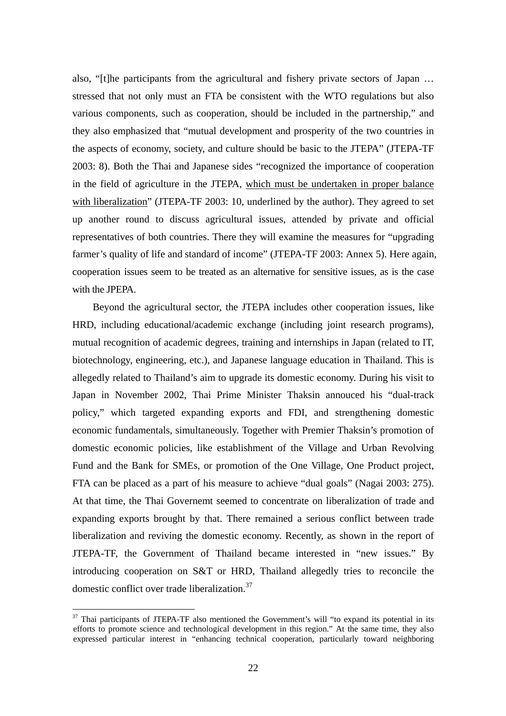also, "[t]he participants from the agricultural and fishery private sectors of Japan … stressed that not only must an FTA be consistent with the WTO regulations but also various components, such as cooperation, should be included in the partnership," and they also emphasized that "mutual development and prosperity of the two countries in the aspects of economy, society, and culture should be basic to the JTEPA" (JTEPA-TF 2003: 8). Both the Thai and Japanese sides "recognized the importance of cooperation in the field of agriculture in the JTEPA, which must be undertaken in proper balance with liberalization" (JTEPA-TF 2003: 10, underlined by the author). They agreed to set up another round to discuss agricultural issues, attended by private and official representatives of both countries. There they will examine the measures for "upgrading farmer's quality of life and standard of income" (JTEPA-TF 2003: Annex 5). Here again, cooperation issues seem to be treated as an alternative for sensitive issues, as is the case with the **IPEPA** 

Beyond the agricultural sector, the JTEPA includes other cooperation issues, like HRD, including educational/academic exchange (including joint research programs), mutual recognition of academic degrees, training and internships in Japan (related to IT, biotechnology, engineering, etc.), and Japanese language education in Thailand. This is allegedly related to Thailand's aim to upgrade its domestic economy. During his visit to Japan in November 2002, Thai Prime Minister Thaksin annouced his "dual-track policy," which targeted expanding exports and FDI, and strengthening domestic economic fundamentals, simultaneously. Together with Premier Thaksin's promotion of domestic economic policies, like establishment of the Village and Urban Revolving Fund and the Bank for SMEs, or promotion of the One Village, One Product project, FTA can be placed as a part of his measure to achieve "dual goals" (Nagai 2003: 275). At that time, the Thai Governemt seemed to concentrate on liberalization of trade and expanding exports brought by that. There remained a serious conflict between trade liberalization and reviving the domestic economy. Recently, as shown in the report of JTEPA-TF, the Government of Thailand became interested in "new issues." By introducing cooperation on S&T or HRD, Thailand allegedly tries to reconcile the domestic conflict over trade liberalization.<sup>37</sup>

 $37$  Thai participants of JTEPA-TF also mentioned the Government's will "to expand its potential in its efforts to promote science and technological development in this region." At the same time, they also expressed particular interest in "enhancing technical cooperation, particularly toward neighboring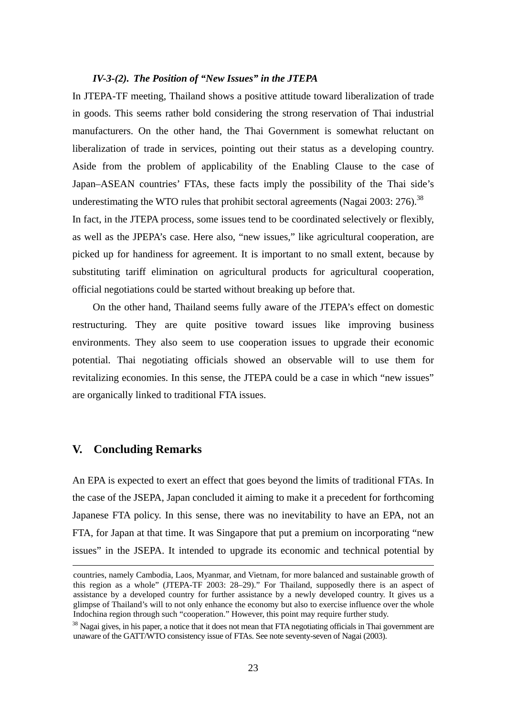### *IV-3-(2). The Position of "New Issues" in the JTEPA*

In JTEPA-TF meeting, Thailand shows a positive attitude toward liberalization of trade in goods. This seems rather bold considering the strong reservation of Thai industrial manufacturers. On the other hand, the Thai Government is somewhat reluctant on liberalization of trade in services, pointing out their status as a developing country. Aside from the problem of applicability of the Enabling Clause to the case of Japan–ASEAN countries' FTAs, these facts imply the possibility of the Thai side's underestimating the WTO rules that prohibit sectoral agreements (Nagai 2003: 276).<sup>38</sup>

In fact, in the JTEPA process, some issues tend to be coordinated selectively or flexibly, as well as the JPEPA's case. Here also, "new issues," like agricultural cooperation, are picked up for handiness for agreement. It is important to no small extent, because by substituting tariff elimination on agricultural products for agricultural cooperation, official negotiations could be started without breaking up before that.

On the other hand, Thailand seems fully aware of the JTEPA's effect on domestic restructuring. They are quite positive toward issues like improving business environments. They also seem to use cooperation issues to upgrade their economic potential. Thai negotiating officials showed an observable will to use them for revitalizing economies. In this sense, the JTEPA could be a case in which "new issues" are organically linked to traditional FTA issues.

# **V. Concluding Remarks**

An EPA is expected to exert an effect that goes beyond the limits of traditional FTAs. In the case of the JSEPA, Japan concluded it aiming to make it a precedent for forthcoming Japanese FTA policy. In this sense, there was no inevitability to have an EPA, not an FTA, for Japan at that time. It was Singapore that put a premium on incorporating "new issues" in the JSEPA. It intended to upgrade its economic and technical potential by

countries, namely Cambodia, Laos, Myanmar, and Vietnam, for more balanced and sustainable growth of this region as a whole" (JTEPA-TF 2003: 28–29)." For Thailand, supposedly there is an aspect of assistance by a developed country for further assistance by a newly developed country. It gives us a glimpse of Thailand's will to not only enhance the economy but also to exercise influence over the whole Indochina region through such "cooperation." However, this point may require further study.

 $38$  Nagai gives, in his paper, a notice that it does not mean that FTA negotiating officials in Thai government are unaware of the GATT/WTO consistency issue of FTAs. See note seventy-seven of Nagai (2003).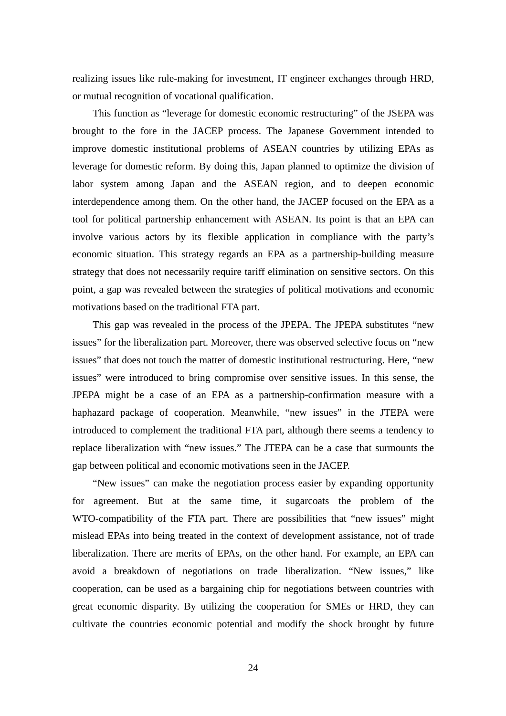realizing issues like rule-making for investment, IT engineer exchanges through HRD, or mutual recognition of vocational qualification.

This function as "leverage for domestic economic restructuring" of the JSEPA was brought to the fore in the JACEP process. The Japanese Government intended to improve domestic institutional problems of ASEAN countries by utilizing EPAs as leverage for domestic reform. By doing this, Japan planned to optimize the division of labor system among Japan and the ASEAN region, and to deepen economic interdependence among them. On the other hand, the JACEP focused on the EPA as a tool for political partnership enhancement with ASEAN. Its point is that an EPA can involve various actors by its flexible application in compliance with the party's economic situation. This strategy regards an EPA as a partnership-building measure strategy that does not necessarily require tariff elimination on sensitive sectors. On this point, a gap was revealed between the strategies of political motivations and economic motivations based on the traditional FTA part.

This gap was revealed in the process of the JPEPA. The JPEPA substitutes "new issues" for the liberalization part. Moreover, there was observed selective focus on "new issues" that does not touch the matter of domestic institutional restructuring. Here, "new issues" were introduced to bring compromise over sensitive issues. In this sense, the JPEPA might be a case of an EPA as a partnership-confirmation measure with a haphazard package of cooperation. Meanwhile, "new issues" in the JTEPA were introduced to complement the traditional FTA part, although there seems a tendency to replace liberalization with "new issues." The JTEPA can be a case that surmounts the gap between political and economic motivations seen in the JACEP.

"New issues" can make the negotiation process easier by expanding opportunity for agreement. But at the same time, it sugarcoats the problem of the WTO-compatibility of the FTA part. There are possibilities that "new issues" might mislead EPAs into being treated in the context of development assistance, not of trade liberalization. There are merits of EPAs, on the other hand. For example, an EPA can avoid a breakdown of negotiations on trade liberalization. "New issues," like cooperation, can be used as a bargaining chip for negotiations between countries with great economic disparity. By utilizing the cooperation for SMEs or HRD, they can cultivate the countries economic potential and modify the shock brought by future

24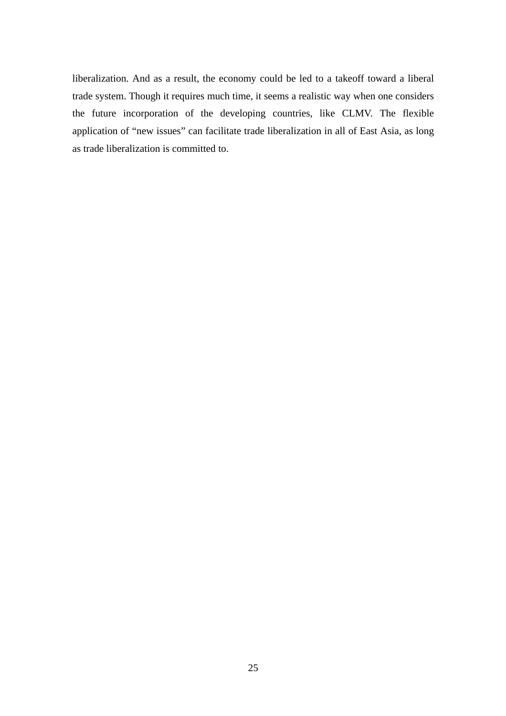liberalization. And as a result, the economy could be led to a takeoff toward a liberal trade system. Though it requires much time, it seems a realistic way when one considers the future incorporation of the developing countries, like CLMV. The flexible application of "new issues" can facilitate trade liberalization in all of East Asia, as long as trade liberalization is committed to.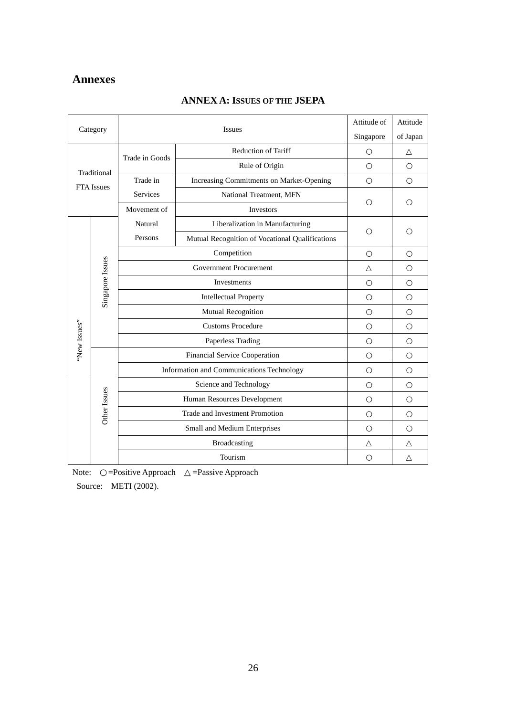# **Annexes**

|                   | Category                                      | <b>Issues</b>   | Attitude of                                     | Attitude  |          |
|-------------------|-----------------------------------------------|-----------------|-------------------------------------------------|-----------|----------|
|                   |                                               |                 |                                                 | Singapore | of Japan |
|                   |                                               | Trade in Goods  | Reduction of Tariff                             |           |          |
|                   |                                               |                 | Rule of Origin                                  |           |          |
|                   | Traditional<br><b>FTA</b> Issues              | Trade in        | Increasing Commitments on Market-Opening        |           |          |
|                   |                                               | <b>Services</b> | National Treatment, MFN                         |           |          |
|                   |                                               | Movement of     | Investors                                       |           |          |
|                   |                                               | Natural         | Liberalization in Manufacturing                 |           |          |
|                   |                                               | Persons         | Mutual Recognition of Vocational Qualifications |           |          |
|                   |                                               |                 | Competition                                     |           |          |
|                   |                                               |                 | <b>Government Procurement</b>                   |           |          |
|                   |                                               |                 | Investments                                     |           |          |
|                   | Singapore Issues                              |                 | <b>Intellectual Property</b>                    |           |          |
|                   |                                               |                 | Mutual Recognition                              |           |          |
|                   |                                               |                 | <b>Customs Procedure</b>                        |           |          |
| "New Issues"      |                                               |                 | Paperless Trading                               |           |          |
|                   |                                               |                 | Financial Service Cooperation                   |           |          |
|                   |                                               |                 | Information and Communications Technology       |           |          |
|                   |                                               |                 | Science and Technology                          |           |          |
|                   |                                               |                 | Human Resources Development                     |           |          |
|                   | Other Issues                                  |                 | Trade and Investment Promotion                  |           |          |
|                   |                                               |                 | Small and Medium Enterprises                    |           |          |
|                   |                                               |                 | Broadcasting                                    |           |          |
|                   |                                               |                 | Tourism                                         |           |          |
| Note <sup>.</sup> | $=$ Positive Approach<br>$=$ Passive Annroach |                 |                                                 |           |          |

# **ANNEX A: ISSUES OF THE JSEPA**

Note: = Positive Approach = Passive Approach

Source: METI (2002).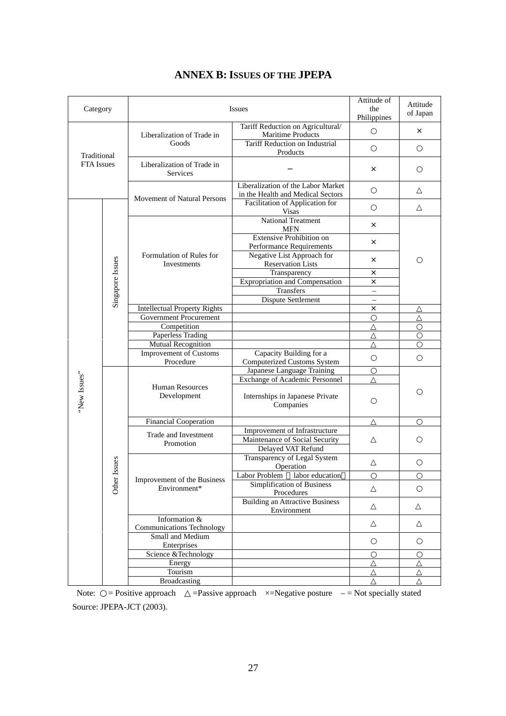| Category          |                                                    |                                                      | <b>Issues</b>                                                           | Attitude of<br>the<br>Philippines                      | Attitude<br>of Japan |          |
|-------------------|----------------------------------------------------|------------------------------------------------------|-------------------------------------------------------------------------|--------------------------------------------------------|----------------------|----------|
|                   | Liberalization of Trade in<br>Goods<br>Traditional |                                                      |                                                                         | Tariff Reduction on Agricultural/<br>Maritime Products |                      | $\times$ |
|                   |                                                    | Tariff Reduction on Industrial<br>Products           |                                                                         |                                                        |                      |          |
| <b>FTA</b> Issues |                                                    | Liberalization of Trade in<br>Services               |                                                                         | ×                                                      |                      |          |
|                   |                                                    | Movement of Natural Persons                          | Liberalization of the Labor Market<br>in the Health and Medical Sectors |                                                        |                      |          |
|                   |                                                    |                                                      | Facilitation of Application for<br><b>Visas</b>                         |                                                        |                      |          |
|                   |                                                    |                                                      | <b>National Treatment</b><br><b>MFN</b>                                 | X                                                      |                      |          |
|                   |                                                    |                                                      | <b>Extensive Prohibition on</b><br>Performance Requirements             | X                                                      |                      |          |
|                   | Singapore Issues                                   | Formulation of Rules for<br>Investments              | Negative List Approach for<br><b>Reservation Lists</b>                  | $\times$                                               |                      |          |
|                   |                                                    |                                                      | Transparency                                                            | $\times$                                               |                      |          |
|                   |                                                    |                                                      | <b>Expropriation and Compensation</b>                                   | X                                                      |                      |          |
|                   |                                                    |                                                      | Transfers                                                               |                                                        |                      |          |
|                   |                                                    |                                                      | Dispute Settlement                                                      | $\qquad \qquad -$                                      |                      |          |
|                   |                                                    | <b>Intellectual Property Rights</b>                  |                                                                         | $\times$                                               |                      |          |
|                   |                                                    | <b>Government Procurement</b><br>Competition         |                                                                         |                                                        |                      |          |
|                   |                                                    | <b>Paperless Trading</b>                             |                                                                         |                                                        |                      |          |
|                   |                                                    | Mutual Recognition                                   |                                                                         |                                                        |                      |          |
|                   |                                                    | <b>Improvement of Customs</b>                        | Capacity Building for a                                                 |                                                        |                      |          |
|                   |                                                    | Procedure                                            | <b>Computerized Customs System</b>                                      |                                                        |                      |          |
|                   |                                                    |                                                      | Japanese Language Training                                              |                                                        |                      |          |
|                   |                                                    | <b>Human Resources</b><br>Development                | <b>Exchange of Academic Personnel</b>                                   |                                                        |                      |          |
| "New Issues"      |                                                    |                                                      | Internships in Japanese Private<br>Companies                            |                                                        |                      |          |
|                   |                                                    | Financial Cooperation                                |                                                                         |                                                        |                      |          |
|                   |                                                    | Trade and Investment                                 | Improvement of Infrastructure                                           |                                                        |                      |          |
|                   |                                                    | Promotion                                            | Maintenance of Social Security                                          |                                                        |                      |          |
|                   |                                                    |                                                      | Delayed VAT Refund                                                      |                                                        |                      |          |
|                   | ssues                                              |                                                      | Transparency of Legal System<br>Operation                               |                                                        |                      |          |
|                   |                                                    |                                                      | Labor Problem labor education                                           |                                                        |                      |          |
|                   |                                                    | Other<br>Improvement of the Business<br>Environment* | Simplification of Business                                              |                                                        |                      |          |
|                   |                                                    |                                                      | Procedures                                                              |                                                        |                      |          |
|                   |                                                    |                                                      | <b>Building an Attractive Business</b><br>Environment                   |                                                        |                      |          |
|                   |                                                    | Information &                                        |                                                                         |                                                        |                      |          |
|                   |                                                    | <b>Communications Technology</b>                     |                                                                         |                                                        |                      |          |
|                   |                                                    | Small and Medium                                     |                                                                         |                                                        |                      |          |
|                   |                                                    | Enterprises                                          |                                                                         |                                                        |                      |          |
|                   |                                                    | Science &Technology                                  |                                                                         |                                                        |                      |          |
|                   |                                                    | Energy                                               |                                                                         |                                                        |                      |          |
|                   |                                                    | Tourism<br><b>Broadcasting</b>                       |                                                                         |                                                        |                      |          |
|                   |                                                    |                                                      |                                                                         |                                                        |                      |          |

# **ANNEX B: ISSUES OF THE JPEPA**

Note: = Positive approach = Passive approach  $\times$ =Negative posture – = Not specially stated Source: JPEPA-JCT (2003).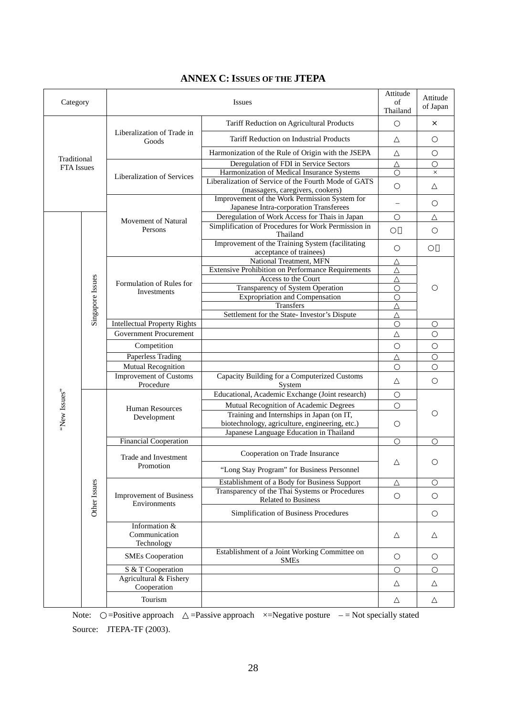| Category          |                  | <b>Issues</b>                                                  |                                                                                             | Attitude<br>of<br>Thailand | Attitude<br>of Japan           |  |  |
|-------------------|------------------|----------------------------------------------------------------|---------------------------------------------------------------------------------------------|----------------------------|--------------------------------|--|--|
|                   |                  |                                                                | Tariff Reduction on Agricultural Products                                                   |                            | $\times$                       |  |  |
|                   |                  | Liberalization of Trade in<br>Goods                            | Tariff Reduction on Industrial Products                                                     |                            |                                |  |  |
| Traditional       |                  |                                                                | Harmonization of the Rule of Origin with the JSEPA                                          |                            |                                |  |  |
| <b>FTA</b> Issues |                  |                                                                | Deregulation of FDI in Service Sectors                                                      |                            |                                |  |  |
|                   |                  | Liberalization of Services                                     | Harmonization of Medical Insurance Systems                                                  |                            | $\times$                       |  |  |
|                   |                  |                                                                | Liberalization of Service of the Fourth Mode of GATS                                        |                            |                                |  |  |
|                   |                  |                                                                | (massagers, caregivers, cookers)<br>Improvement of the Work Permission System for           |                            |                                |  |  |
|                   |                  |                                                                | Japanese Intra-corporation Transferees                                                      |                            |                                |  |  |
|                   |                  |                                                                | Deregulation of Work Access for Thais in Japan                                              |                            |                                |  |  |
|                   |                  | Movement of Natural<br>Persons                                 | Simplification of Procedures for Work Permission in                                         |                            |                                |  |  |
|                   |                  |                                                                | Thailand                                                                                    |                            |                                |  |  |
|                   |                  |                                                                | Improvement of the Training System (facilitating                                            |                            |                                |  |  |
|                   |                  |                                                                | acceptance of trainees)                                                                     |                            |                                |  |  |
|                   |                  |                                                                | National Treatment, MFN<br><b>Extensive Prohibition on Performance Requirements</b>         |                            |                                |  |  |
|                   |                  |                                                                | Access to the Court                                                                         |                            |                                |  |  |
|                   |                  | Formulation of Rules for                                       | Transparency of System Operation                                                            |                            |                                |  |  |
|                   |                  | Investments                                                    | <b>Expropriation and Compensation</b>                                                       |                            |                                |  |  |
|                   |                  |                                                                | Transfers                                                                                   |                            |                                |  |  |
|                   | Singapore Issues |                                                                | Settlement for the State- Investor's Dispute                                                |                            |                                |  |  |
|                   |                  | <b>Intellectual Property Rights</b>                            |                                                                                             |                            |                                |  |  |
|                   |                  | <b>Government Procurement</b>                                  |                                                                                             |                            |                                |  |  |
|                   |                  | Competition                                                    |                                                                                             |                            |                                |  |  |
|                   |                  | Paperless Trading                                              |                                                                                             |                            |                                |  |  |
|                   |                  | Mutual Recognition                                             |                                                                                             |                            |                                |  |  |
|                   |                  | <b>Improvement of Customs</b>                                  | Capacity Building for a Computerized Customs                                                |                            |                                |  |  |
|                   |                  | Procedure                                                      | System                                                                                      |                            |                                |  |  |
| "New Issues"      |                  | <b>Human Resources</b><br>Development                          | Educational, Academic Exchange (Joint research)                                             |                            |                                |  |  |
|                   |                  |                                                                | Mutual Recognition of Academic Degrees                                                      |                            |                                |  |  |
|                   |                  |                                                                | Training and Internships in Japan (on IT,<br>biotechnology, agriculture, engineering, etc.) |                            |                                |  |  |
|                   |                  |                                                                | Japanese Language Education in Thailand                                                     |                            |                                |  |  |
|                   |                  | Financial Cooperation                                          |                                                                                             |                            |                                |  |  |
|                   |                  |                                                                |                                                                                             | Trade and Investment       | Cooperation on Trade Insurance |  |  |
|                   |                  | Promotion                                                      | "Long Stay Program" for Business Personnel                                                  |                            |                                |  |  |
|                   |                  |                                                                | Establishment of a Body for Business Support                                                |                            |                                |  |  |
|                   |                  | Other Issues<br><b>Improvement of Business</b><br>Environments | Transparency of the Thai Systems or Procedures<br>Related to Business                       |                            |                                |  |  |
|                   |                  |                                                                | Simplification of Business Procedures                                                       |                            |                                |  |  |
|                   |                  | Information &<br>Communication<br>Technology                   |                                                                                             |                            |                                |  |  |
|                   |                  | <b>SMEs Cooperation</b>                                        | Establishment of a Joint Working Committee on<br><b>SMEs</b>                                |                            |                                |  |  |
|                   |                  | S & T Cooperation                                              |                                                                                             |                            |                                |  |  |
|                   |                  | Agricultural & Fishery<br>Cooperation                          |                                                                                             |                            |                                |  |  |
|                   |                  | Tourism                                                        |                                                                                             |                            |                                |  |  |

# **ANNEX C: ISSUES OF THE JTEPA**

Note:  $=$ Positive approach  $=$ Passive approach  $\times$ =Negative posture  $-$  = Not specially stated Source: JTEPA-TF (2003).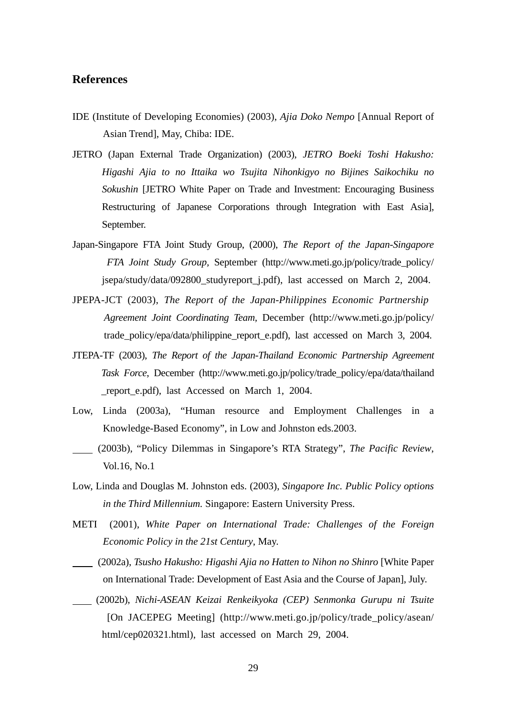# **References**

- IDE (Institute of Developing Economies) (2003), *Ajia Doko Nempo* [Annual Report of Asian Trend], May, Chiba: IDE.
- JETRO (Japan External Trade Organization) (2003), *JETRO Boeki Toshi Hakusho: Higashi Ajia to no Ittaika wo Tsujita Nihonkigyo no Bijines Saikochiku no Sokushin* [JETRO White Paper on Trade and Investment: Encouraging Business Restructuring of Japanese Corporations through Integration with East Asia], September.
- Japan-Singapore FTA Joint Study Group, (2000), *The Report of the Japan-Singapore FTA Joint Study Group,* September (http://www.meti.go.jp/policy/trade\_policy/ jsepa/study/data/092800\_studyreport\_j.pdf), last accessed on March 2, 2004.
- JPEPA-JCT (2003), *The Report of the Japan-Philippines Economic Partnership Agreement Joint Coordinating Team,* December (http://www.meti.go.jp/policy/ trade policy/epa/data/philippine report e.pdf), last accessed on March 3, 2004.
- JTEPA-TF (2003), *The Report of the Japan-Thailand Economic Partnership Agreement Task Force*, December (http://www.meti.go.jp/policy/trade\_policy/epa/data/thailand \_report\_e.pdf), last Accessed on March 1, 2004.
- Low, Linda (2003a), "Human resource and Employment Challenges in a Knowledge-Based Economy", in Low and Johnston eds.2003.
- (2003b), "Policy Dilemmas in Singapore's RTA Strategy", *The Pacific Review*, Vol.16, No.1
- Low, Linda and Douglas M. Johnston eds. (2003), *Singapore Inc. Public Policy options in the Third Millennium.* Singapore: Eastern University Press.
- METI (2001), *White Paper on International Trade: Challenges of the Foreign Economic Policy in the 21st Century*, May.
- (2002a), *Tsusho Hakusho: Higashi Ajia no Hatten to Nihon no Shinro* [White Paper on International Trade: Development of East Asia and the Course of Japan], July.
- (2002b), *Nichi-ASEAN Keizai Renkeikyoka (CEP) Senmonka Gurupu ni Tsuite* [On JACEPEG Meeting] (http://www.meti.go.jp/policy/trade\_policy/asean/ html/cep020321.html), last accessed on March 29, 2004.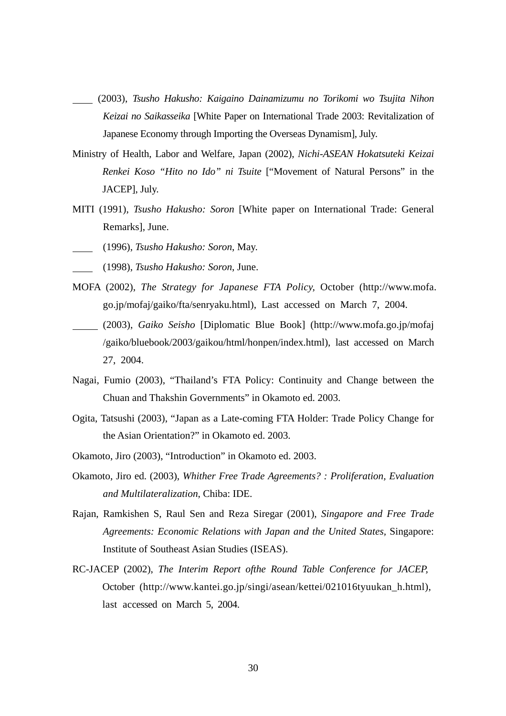- (2003), *Tsusho Hakusho: Kaigaino Dainamizumu no Torikomi wo Tsujita Nihon Keizai no Saikasseika* [White Paper on International Trade 2003: Revitalization of Japanese Economy through Importing the Overseas Dynamism], July.
- Ministry of Health, Labor and Welfare, Japan (2002), *Nichi-ASEAN Hokatsuteki Keizai Renkei Koso "Hito no Ido" ni Tsuite* ["Movement of Natural Persons" in the JACEP], July.
- MITI (1991), *Tsusho Hakusho: Soron* [White paper on International Trade: General Remarks], June.
- (1996), *Tsusho Hakusho: Soron*, May.
- (1998), *Tsusho Hakusho: Soron*, June.
- MOFA (2002), *The Strategy for Japanese FTA Policy,* October (http://www.mofa. go.jp/mofaj/gaiko/fta/senryaku.html), Last accessed on March 7, 2004.
- (2003), *Gaiko Seisho* [Diplomatic Blue Book] (http://www.mofa.go.jp/mofaj /gaiko/bluebook/2003/gaikou/html/honpen/index.html), last accessed on March 27, 2004.
- Nagai, Fumio (2003), "Thailand's FTA Policy: Continuity and Change between the Chuan and Thakshin Governments" in Okamoto ed. 2003.
- Ogita, Tatsushi (2003), "Japan as a Late-coming FTA Holder: Trade Policy Change for the Asian Orientation?" in Okamoto ed. 2003.
- Okamoto, Jiro (2003), "Introduction" in Okamoto ed. 2003.
- Okamoto, Jiro ed. (2003), *Whither Free Trade Agreements? : Proliferation, Evaluation and Multilateralization*, Chiba: IDE.
- Rajan, Ramkishen S, Raul Sen and Reza Siregar (2001), *Singapore and Free Trade Agreements: Economic Relations with Japan and the United States,* Singapore: Institute of Southeast Asian Studies (ISEAS).
- RC-JACEP (2002), *The Interim Report ofthe Round Table Conference for JACEP,* October (http://www.kantei.go.jp/singi/asean/kettei/021016tyuukan\_h.html), last accessed on March 5, 2004.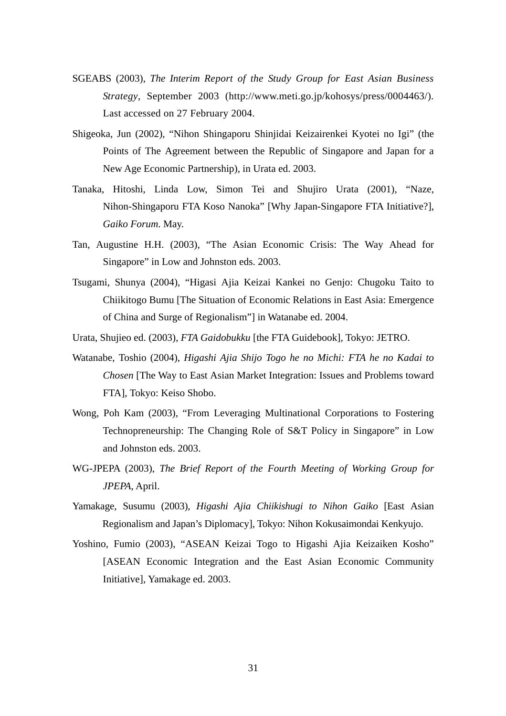- SGEABS (2003), *The Interim Report of the Study Group for East Asian Business Strategy*, September 2003 (http://www.meti.go.jp/kohosys/press/0004463/). Last accessed on 27 February 2004.
- Shigeoka, Jun (2002), "Nihon Shingaporu Shinjidai Keizairenkei Kyotei no Igi" (the Points of The Agreement between the Republic of Singapore and Japan for a New Age Economic Partnership), in Urata ed. 2003.
- Tanaka, Hitoshi, Linda Low, Simon Tei and Shujiro Urata (2001), "Naze, Nihon-Shingaporu FTA Koso Nanoka" [Why Japan-Singapore FTA Initiative?], *Gaiko Forum*. May.
- Tan, Augustine H.H. (2003), "The Asian Economic Crisis: The Way Ahead for Singapore" in Low and Johnston eds. 2003.
- Tsugami, Shunya (2004), "Higasi Ajia Keizai Kankei no Genjo: Chugoku Taito to Chiikitogo Bumu [The Situation of Economic Relations in East Asia: Emergence of China and Surge of Regionalism"] in Watanabe ed. 2004.
- Urata, Shujieo ed. (2003), *FTA Gaidobukku* [the FTA Guidebook], Tokyo: JETRO.
- Watanabe, Toshio (2004), *Higashi Ajia Shijo Togo he no Michi: FTA he no Kadai to Chosen* [The Way to East Asian Market Integration: Issues and Problems toward FTA], Tokyo: Keiso Shobo.
- Wong, Poh Kam (2003), "From Leveraging Multinational Corporations to Fostering Technopreneurship: The Changing Role of S&T Policy in Singapore" in Low and Johnston eds. 2003.
- WG-JPEPA (2003), *The Brief Report of the Fourth Meeting of Working Group for JPEPA*, April.
- Yamakage, Susumu (2003), *Higashi Ajia Chiikishugi to Nihon Gaiko* [East Asian Regionalism and Japan's Diplomacy], Tokyo: Nihon Kokusaimondai Kenkyujo.
- Yoshino, Fumio (2003), "ASEAN Keizai Togo to Higashi Ajia Keizaiken Kosho" [ASEAN Economic Integration and the East Asian Economic Community Initiative], Yamakage ed. 2003.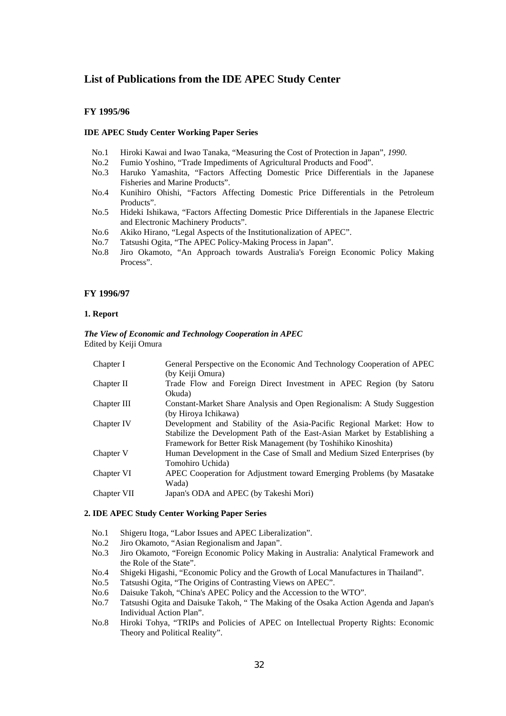# **List of Publications from the IDE APEC Study Center**

#### **FY 1995/96**

#### **IDE APEC Study Center Working Paper Series**

- No.1 Hiroki Kawai and Iwao Tanaka, "Measuring the Cost of Protection in Japan"*, 1990*.
- No.2 Fumio Yoshino, "Trade Impediments of Agricultural Products and Food".
- No.3 Haruko Yamashita, "Factors Affecting Domestic Price Differentials in the Japanese Fisheries and Marine Products".
- No.4 Kunihiro Ohishi, "Factors Affecting Domestic Price Differentials in the Petroleum Products".
- No.5 Hideki Ishikawa, "Factors Affecting Domestic Price Differentials in the Japanese Electric and Electronic Machinery Products".
- No.6 Akiko Hirano, "Legal Aspects of the Institutionalization of APEC".
- No.7 Tatsushi Ogita, "The APEC Policy-Making Process in Japan".
- No.8 Jiro Okamoto, "An Approach towards Australia's Foreign Economic Policy Making Process".

#### **FY 1996/97**

#### **1. Report**

#### *The View of Economic and Technology Cooperation in APEC*  Edited by Keiji Omura

| Chapter I   | General Perspective on the Economic And Technology Cooperation of APEC<br>(by Keiji Omura)                                                                                                                          |
|-------------|---------------------------------------------------------------------------------------------------------------------------------------------------------------------------------------------------------------------|
| Chapter II  | Trade Flow and Foreign Direct Investment in APEC Region (by Satoru                                                                                                                                                  |
|             | Okuda)                                                                                                                                                                                                              |
| Chapter III | Constant-Market Share Analysis and Open Regionalism: A Study Suggestion<br>(by Hiroya Ichikawa)                                                                                                                     |
| Chapter IV  | Development and Stability of the Asia-Pacific Regional Market: How to<br>Stabilize the Development Path of the East-Asian Market by Establishing a<br>Framework for Better Risk Management (by Toshihiko Kinoshita) |
| Chapter V   | Human Development in the Case of Small and Medium Sized Enterprises (by<br>Tomohiro Uchida)                                                                                                                         |
| Chapter VI  | APEC Cooperation for Adjustment toward Emerging Problems (by Masatake<br>Wada)                                                                                                                                      |
| Chapter VII | Japan's ODA and APEC (by Takeshi Mori)                                                                                                                                                                              |

#### **2. IDE APEC Study Center Working Paper Series**

- No.1 Shigeru Itoga, "Labor Issues and APEC Liberalization".
- No.2 Jiro Okamoto, "Asian Regionalism and Japan".
- No.3 Jiro Okamoto, "Foreign Economic Policy Making in Australia: Analytical Framework and the Role of the State".
- No.4 Shigeki Higashi, "Economic Policy and the Growth of Local Manufactures in Thailand".
- No.5 Tatsushi Ogita, "The Origins of Contrasting Views on APEC".
- No.6 Daisuke Takoh, "China's APEC Policy and the Accession to the WTO".
- No.7 Tatsushi Ogita and Daisuke Takoh, " The Making of the Osaka Action Agenda and Japan's Individual Action Plan".
- No.8 Hiroki Tohya, "TRIPs and Policies of APEC on Intellectual Property Rights: Economic Theory and Political Reality".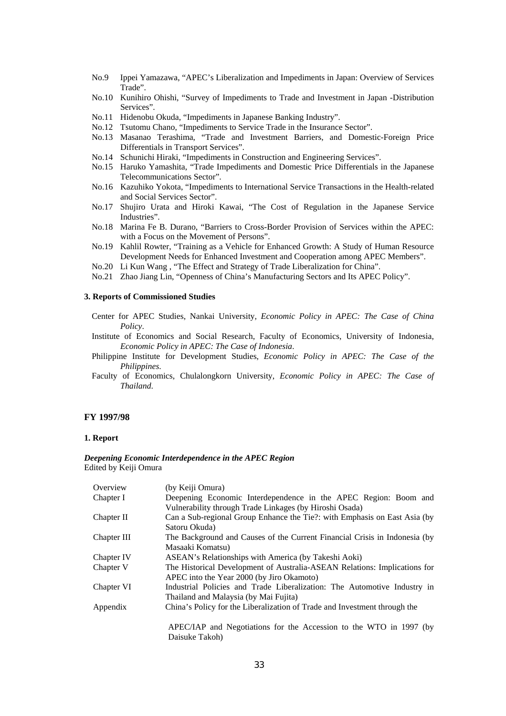- No.9 Ippei Yamazawa, "APEC's Liberalization and Impediments in Japan: Overview of Services Trade".
- No.10 Kunihiro Ohishi, "Survey of Impediments to Trade and Investment in Japan -Distribution Services".
- No.11 Hidenobu Okuda, "Impediments in Japanese Banking Industry".
- No.12 Tsutomu Chano, "Impediments to Service Trade in the Insurance Sector".
- No.13 Masanao Terashima, "Trade and Investment Barriers, and Domestic-Foreign Price Differentials in Transport Services".
- No.14 Schunichi Hiraki, "Impediments in Construction and Engineering Services".
- No.15 Haruko Yamashita, "Trade Impediments and Domestic Price Differentials in the Japanese Telecommunications Sector".
- No.16 Kazuhiko Yokota, "Impediments to International Service Transactions in the Health-related and Social Services Sector".
- No.17 Shujiro Urata and Hiroki Kawai, "The Cost of Regulation in the Japanese Service Industries".
- No.18 Marina Fe B. Durano, "Barriers to Cross-Border Provision of Services within the APEC: with a Focus on the Movement of Persons".
- No.19 Kahlil Rowter, "Training as a Vehicle for Enhanced Growth: A Study of Human Resource Development Needs for Enhanced Investment and Cooperation among APEC Members".
- No.20 Li Kun Wang , "The Effect and Strategy of Trade Liberalization for China".
- No.21 Zhao Jiang Lin, "Openness of China's Manufacturing Sectors and Its APEC Policy".

### **3. Reports of Commissioned Studies**

- Center for APEC Studies, Nankai University, *Economic Policy in APEC: The Case of China Policy*.
- Institute of Economics and Social Research, Faculty of Economics, University of Indonesia, *Economic Policy in APEC: The Case of Indonesia*.
- Philippine Institute for Development Studies, *Economic Policy in APEC: The Case of the Philippines*.
- Faculty of Economics, Chulalongkorn University, *Economic Policy in APEC: The Case of Thailand*.

#### **FY 1997/98**

#### **1. Report**

#### *Deepening Economic Interdependence in the APEC Region*  Edited by Keiji Omura

| Overview    | (by Keiji Omura)                                                           |
|-------------|----------------------------------------------------------------------------|
| Chapter I   | Deepening Economic Interdependence in the APEC Region: Boom and            |
|             | Vulnerability through Trade Linkages (by Hiroshi Osada)                    |
| Chapter II  | Can a Sub-regional Group Enhance the Tie?: with Emphasis on East Asia (by  |
|             | Satoru Okuda)                                                              |
| Chapter III | The Background and Causes of the Current Financial Crisis in Indonesia (by |
|             | Masaaki Komatsu)                                                           |
| Chapter IV  | ASEAN's Relationships with America (by Takeshi Aoki)                       |
| Chapter V   | The Historical Development of Australia-ASEAN Relations: Implications for  |
|             | APEC into the Year 2000 (by Jiro Okamoto)                                  |
| Chapter VI  | Industrial Policies and Trade Liberalization: The Automotive Industry in   |
|             | Thailand and Malaysia (by Mai Fujita)                                      |
| Appendix    | China's Policy for the Liberalization of Trade and Investment through the  |
|             | APEC/IAP and Negotiations for the Accession to the WTO in 1997 (by         |
|             |                                                                            |
|             | Daisuke Takoh)                                                             |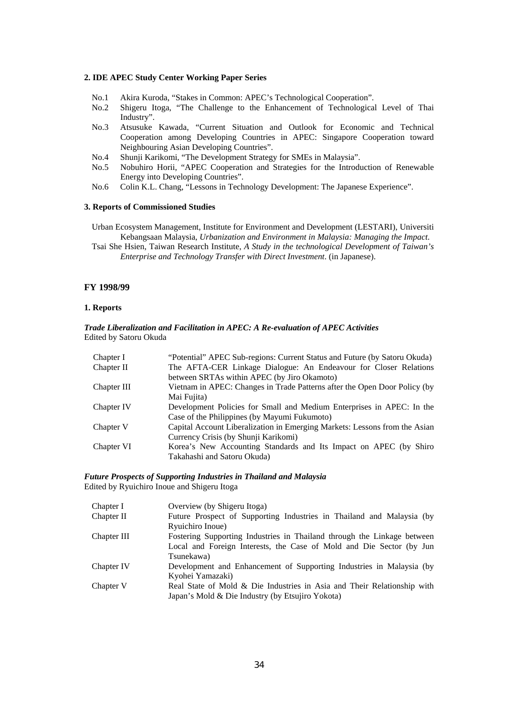#### **2. IDE APEC Study Center Working Paper Series**

- No.1 Akira Kuroda, "Stakes in Common: APEC's Technological Cooperation".
- No.2 Shigeru Itoga, "The Challenge to the Enhancement of Technological Level of Thai Industry".
- No.3 Atsusuke Kawada, "Current Situation and Outlook for Economic and Technical Cooperation among Developing Countries in APEC: Singapore Cooperation toward Neighbouring Asian Developing Countries".
- No.4 Shunji Karikomi, "The Development Strategy for SMEs in Malaysia".
- No.5 Nobuhiro Horii, "APEC Cooperation and Strategies for the Introduction of Renewable Energy into Developing Countries".
- No.6 Colin K.L. Chang, "Lessons in Technology Development: The Japanese Experience".

#### **3. Reports of Commissioned Studies**

Urban Ecosystem Management, Institute for Environment and Development (LESTARI), Universiti Kebangsaan Malaysia, *Urbanization and Environment in Malaysia: Managing the Impact*.

Tsai She Hsien, Taiwan Research Institute, *A Study in the technological Development of Taiwan's Enterprise and Technology Transfer with Direct Investment*. (in Japanese).

#### **FY 1998/99**

#### **1. Reports**

#### *Trade Liberalization and Facilitation in APEC: A Re-evaluation of APEC Activities*  Edited by Satoru Okuda

| Chapter I   | "Potential" APEC Sub-regions: Current Status and Future (by Satoru Okuda)  |
|-------------|----------------------------------------------------------------------------|
| Chapter II  | The AFTA-CER Linkage Dialogue: An Endeavour for Closer Relations           |
|             | between SRTAs within APEC (by Jiro Okamoto)                                |
| Chapter III | Vietnam in APEC: Changes in Trade Patterns after the Open Door Policy (by  |
|             | Mai Fujita)                                                                |
| Chapter IV  | Development Policies for Small and Medium Enterprises in APEC: In the      |
|             | Case of the Philippines (by Mayumi Fukumoto)                               |
| Chapter V   | Capital Account Liberalization in Emerging Markets: Lessons from the Asian |
|             | Currency Crisis (by Shunji Karikomi)                                       |
| Chapter VI  | Korea's New Accounting Standards and Its Impact on APEC (by Shiro          |
|             | Takahashi and Satoru Okuda)                                                |

#### *Future Prospects of Supporting Industries in Thailand and Malaysia*  Edited by Ryuichiro Inoue and Shigeru Itoga

| Chapter I   | Overview (by Shigeru Itoga)                                             |
|-------------|-------------------------------------------------------------------------|
| Chapter II  | Future Prospect of Supporting Industries in Thailand and Malaysia (by   |
|             | Ryuichiro Inoue)                                                        |
| Chapter III | Fostering Supporting Industries in Thailand through the Linkage between |
|             | Local and Foreign Interests, the Case of Mold and Die Sector (by Jun    |
|             | Tsunekawa)                                                              |
| Chapter IV  | Development and Enhancement of Supporting Industries in Malaysia (by    |
|             | Kyohei Yamazaki)                                                        |
| Chapter V   | Real State of Mold & Die Industries in Asia and Their Relationship with |
|             | Japan's Mold & Die Industry (by Etsujiro Yokota)                        |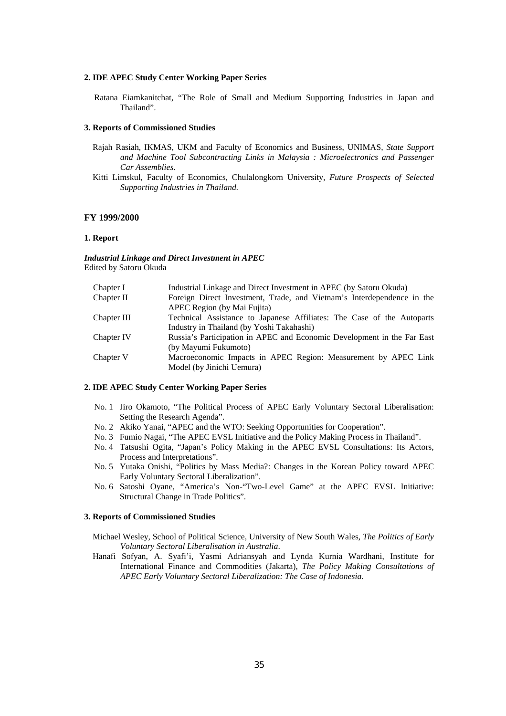#### **2. IDE APEC Study Center Working Paper Series**

Ratana Eiamkanitchat, "The Role of Small and Medium Supporting Industries in Japan and Thailand".

#### **3. Reports of Commissioned Studies**

- Rajah Rasiah, IKMAS, UKM and Faculty of Economics and Business, UNIMAS*, State Support and Machine Tool Subcontracting Links in Malaysia : Microelectronics and Passenger Car Assemblies.*
- Kitti Limskul, Faculty of Economics, Chulalongkorn University*, Future Prospects of Selected Supporting Industries in Thailand.*

#### **FY 1999/2000**

#### **1. Report**

*Industrial Linkage and Direct Investment in APEC*  Edited by Satoru Okuda

| Chapter I   | Industrial Linkage and Direct Investment in APEC (by Satoru Okuda)      |
|-------------|-------------------------------------------------------------------------|
| Chapter II  | Foreign Direct Investment, Trade, and Vietnam's Interdependence in the  |
|             | APEC Region (by Mai Fujita)                                             |
| Chapter III | Technical Assistance to Japanese Affiliates: The Case of the Autoparts  |
|             | Industry in Thailand (by Yoshi Takahashi)                               |
| Chapter IV  | Russia's Participation in APEC and Economic Development in the Far East |
|             | (by Mayumi Fukumoto)                                                    |
| Chapter V   | Macroeconomic Impacts in APEC Region: Measurement by APEC Link          |
|             | Model (by Jinichi Uemura)                                               |
|             |                                                                         |

#### **2. IDE APEC Study Center Working Paper Series**

- No. 1 Jiro Okamoto, "The Political Process of APEC Early Voluntary Sectoral Liberalisation: Setting the Research Agenda".
- No. 2 Akiko Yanai, "APEC and the WTO: Seeking Opportunities for Cooperation".
- No. 3 Fumio Nagai, "The APEC EVSL Initiative and the Policy Making Process in Thailand".
- No. 4 Tatsushi Ogita, "Japan's Policy Making in the APEC EVSL Consultations: Its Actors, Process and Interpretations".
- No. 5 Yutaka Onishi, "Politics by Mass Media?: Changes in the Korean Policy toward APEC Early Voluntary Sectoral Liberalization".
- No. 6 Satoshi Oyane, "America's Non-"Two-Level Game" at the APEC EVSL Initiative: Structural Change in Trade Politics".

#### **3. Reports of Commissioned Studies**

- Michael Wesley, School of Political Science, University of New South Wales, *The Politics of Early Voluntary Sectoral Liberalisation in Australia*.
- Hanafi Sofyan, A. Syafi'i, Yasmi Adriansyah and Lynda Kurnia Wardhani, Institute for International Finance and Commodities (Jakarta), *The Policy Making Consultations of APEC Early Voluntary Sectoral Liberalization: The Case of Indonesia*.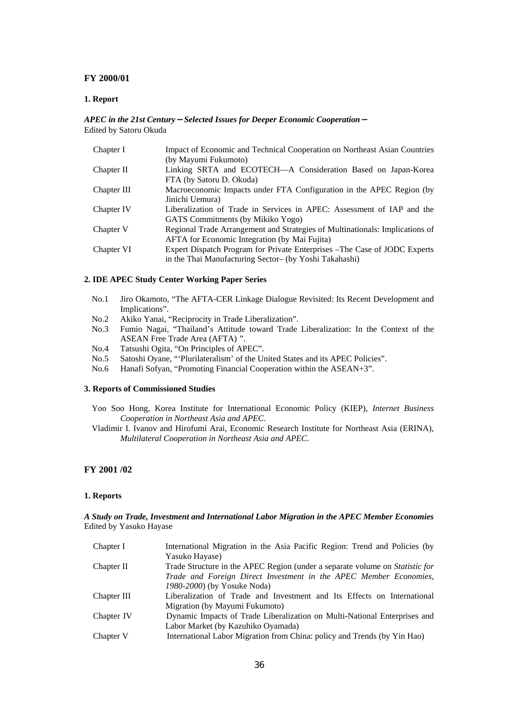#### **FY 2000/01**

#### **1. Report**

#### *APEC in the 21st Century*-*Selected Issues for Deeper Economic Cooperation*- Edited by Satoru Okuda

| Chapter I   | Impact of Economic and Technical Cooperation on Northeast Asian Countries    |
|-------------|------------------------------------------------------------------------------|
|             | (by Mayumi Fukumoto)                                                         |
| Chapter II  | Linking SRTA and ECOTECH-A Consideration Based on Japan-Korea                |
|             | FTA (by Satoru D. Okuda)                                                     |
| Chapter III | Macroeconomic Impacts under FTA Configuration in the APEC Region (by         |
|             | Jinichi Uemura)                                                              |
| Chapter IV  | Liberalization of Trade in Services in APEC: Assessment of IAP and the       |
|             | GATS Commitments (by Mikiko Yogo)                                            |
| Chapter V   | Regional Trade Arrangement and Strategies of Multinationals: Implications of |
|             | <b>AFTA</b> for Economic Integration (by Mai Fujita)                         |
| Chapter VI  | Expert Dispatch Program for Private Enterprises – The Case of JODC Experts   |
|             | in the Thai Manufacturing Sector- (by Yoshi Takahashi)                       |

#### **2. IDE APEC Study Center Working Paper Series**

- No.1 Jiro Okamoto, "The AFTA-CER Linkage Dialogue Revisited: Its Recent Development and Implications".
- No.2 Akiko Yanai, "Reciprocity in Trade Liberalization".
- No.3 Fumio Nagai, "Thailand's Attitude toward Trade Liberalization: In the Context of the ASEAN Free Trade Area (AFTA) ".
- No.4 Tatsushi Ogita, "On Principles of APEC".
- No.5 Satoshi Oyane, "'Plurilateralism' of the United States and its APEC Policies".
- No.6 Hanafi Sofyan, "Promoting Financial Cooperation within the ASEAN+3".

#### **3. Reports of Commissioned Studies**

- Yoo Soo Hong, Korea Institute for International Economic Policy (KIEP), *Internet Business Cooperation in Northeast Asia and APEC*.
- Vladimir I. Ivanov and Hirofumi Arai, Economic Research Institute for Northeast Asia (ERINA), *Multilateral Cooperation in Northeast Asia and APEC*.

### **FY 2001 /02**

#### **1. Reports**

#### *A Study on Trade, Investment and International Labor Migration in the APEC Member Economies*  Edited by Yasuko Hayase

| Chapter I   | International Migration in the Asia Pacific Region: Trend and Policies (by   |
|-------------|------------------------------------------------------------------------------|
|             | Yasuko Hayase)                                                               |
| Chapter II  | Trade Structure in the APEC Region (under a separate volume on Statistic for |
|             | Trade and Foreign Direct Investment in the APEC Member Economies,            |
|             | 1980-2000) (by Yosuke Noda)                                                  |
| Chapter III | Liberalization of Trade and Investment and Its Effects on International      |
|             | Migration (by Mayumi Fukumoto)                                               |
| Chapter IV  | Dynamic Impacts of Trade Liberalization on Multi-National Enterprises and    |
|             | Labor Market (by Kazuhiko Oyamada)                                           |
| Chapter V   | International Labor Migration from China: policy and Trends (by Yin Hao)     |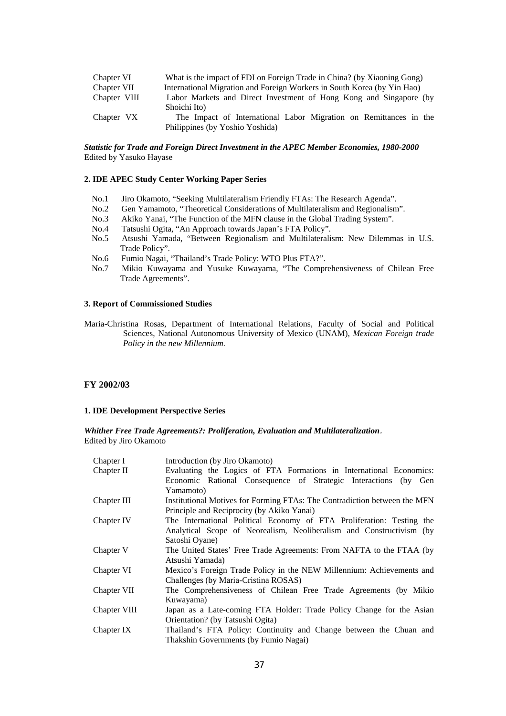| Chapter VI   | What is the impact of FDI on Foreign Trade in China? (by Xiaoning Gong) |  |  |  |
|--------------|-------------------------------------------------------------------------|--|--|--|
| Chapter VII  | International Migration and Foreign Workers in South Korea (by Yin Hao) |  |  |  |
| Chapter VIII | Labor Markets and Direct Investment of Hong Kong and Singapore (by      |  |  |  |
|              | Shoichi Ito)                                                            |  |  |  |
| Chapter VX   | The Impact of International Labor Migration on Remittances in the       |  |  |  |
|              | Philippines (by Yoshio Yoshida)                                         |  |  |  |

#### *Statistic for Trade and Foreign Direct Investment in the APEC Member Economies, 1980-2000*  Edited by Yasuko Hayase

#### **2. IDE APEC Study Center Working Paper Series**

- No.1 Jiro Okamoto, "Seeking Multilateralism Friendly FTAs: The Research Agenda".
- No.2 Gen Yamamoto, "Theoretical Considerations of Multilateralism and Regionalism".
- No.3 Akiko Yanai, "The Function of the MFN clause in the Global Trading System".
- No.4 Tatsushi Ogita, "An Approach towards Japan's FTA Policy".
- No.5 Atsushi Yamada, "Between Regionalism and Multilateralism: New Dilemmas in U.S. Trade Policy".
- No.6 Fumio Nagai, "Thailand's Trade Policy: WTO Plus FTA?".
- No.7 Mikio Kuwayama and Yusuke Kuwayama, "The Comprehensiveness of Chilean Free Trade Agreements".

#### **3. Report of Commissioned Studies**

Maria-Christina Rosas, Department of International Relations, Faculty of Social and Political Sciences, National Autonomous University of Mexico (UNAM), *Mexican Foreign trade Policy in the new Millennium.*

#### **FY 2002/03**

#### **1. IDE Development Perspective Series**

*Whither Free Trade Agreements?: Proliferation, Evaluation and Multilateralization*. Edited by Jiro Okamoto

| Chapter I    | Introduction (by Jiro Okamoto)                                            |
|--------------|---------------------------------------------------------------------------|
| Chapter II   | Evaluating the Logics of FTA Formations in International Economics:       |
|              | Economic Rational Consequence of Strategic Interactions (by Gen           |
|              | Yamamoto)                                                                 |
| Chapter III  | Institutional Motives for Forming FTAs: The Contradiction between the MFN |
|              | Principle and Reciprocity (by Akiko Yanai)                                |
| Chapter IV   | The International Political Economy of FTA Proliferation: Testing the     |
|              | Analytical Scope of Neorealism, Neoliberalism and Constructivism (by      |
|              | Satoshi Oyane)                                                            |
| Chapter V    | The United States' Free Trade Agreements: From NAFTA to the FTAA (by      |
|              | Atsushi Yamada)                                                           |
| Chapter VI   | Mexico's Foreign Trade Policy in the NEW Millennium: Achievements and     |
|              | Challenges (by Maria-Cristina ROSAS)                                      |
| Chapter VII  | The Comprehensiveness of Chilean Free Trade Agreements (by Mikio          |
|              | Kuwayama)                                                                 |
| Chapter VIII | Japan as a Late-coming FTA Holder: Trade Policy Change for the Asian      |
|              | Orientation? (by Tatsushi Ogita)                                          |
| Chapter IX   | Thailand's FTA Policy: Continuity and Change between the Chuan and        |
|              | Thakshin Governments (by Fumio Nagai)                                     |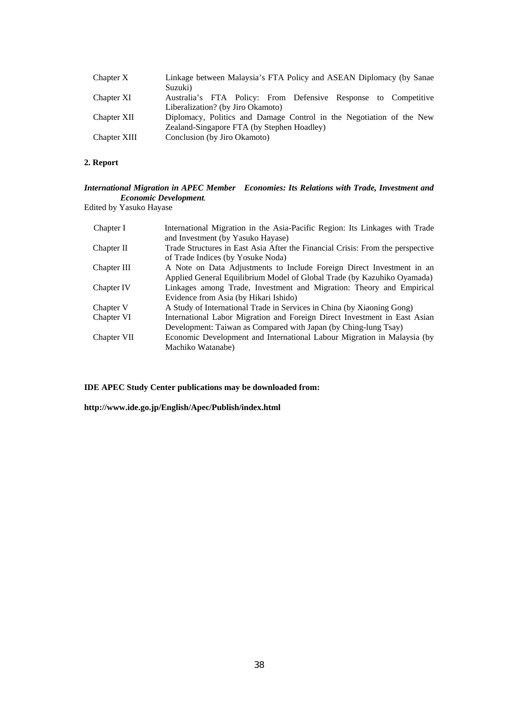| Chapter X    | Linkage between Malaysia's FTA Policy and ASEAN Diplomacy (by Sanae<br>Suzuki)                      |
|--------------|-----------------------------------------------------------------------------------------------------|
| Chapter XI   | Australia's FTA Policy: From Defensive Response to Competitive<br>Liberalization? (by Jiro Okamoto) |
| Chapter XII  | Diplomacy, Politics and Damage Control in the Negotiation of the New                                |
|              | Zealand-Singapore FTA (by Stephen Hoadley)                                                          |
| Chapter XIII | Conclusion (by Jiro Okamoto)                                                                        |

### **2. Report**

### *International Migration in APEC Member Economies: Its Relations with Trade, Investment and Economic Development.*

Edited by Yasuko Hayase

| International Migration in the Asia-Pacific Region: Its Linkages with Trade    |
|--------------------------------------------------------------------------------|
| and Investment (by Yasuko Hayase)                                              |
| Trade Structures in East Asia After the Financial Crisis: From the perspective |
| of Trade Indices (by Yosuke Noda)                                              |
| A Note on Data Adjustments to Include Foreign Direct Investment in an          |
| Applied General Equilibrium Model of Global Trade (by Kazuhiko Oyamada)        |
| Linkages among Trade, Investment and Migration: Theory and Empirical           |
| Evidence from Asia (by Hikari Ishido)                                          |
| A Study of International Trade in Services in China (by Xiaoning Gong)         |
| International Labor Migration and Foreign Direct Investment in East Asian      |
| Development: Taiwan as Compared with Japan (by Ching-lung Tsay)                |
| Economic Development and International Labour Migration in Malaysia (by        |
| Machiko Watanabe)                                                              |
|                                                                                |

**IDE APEC Study Center publications may be downloaded from:** 

**http://www.ide.go.jp/English/Apec/Publish/index.html**